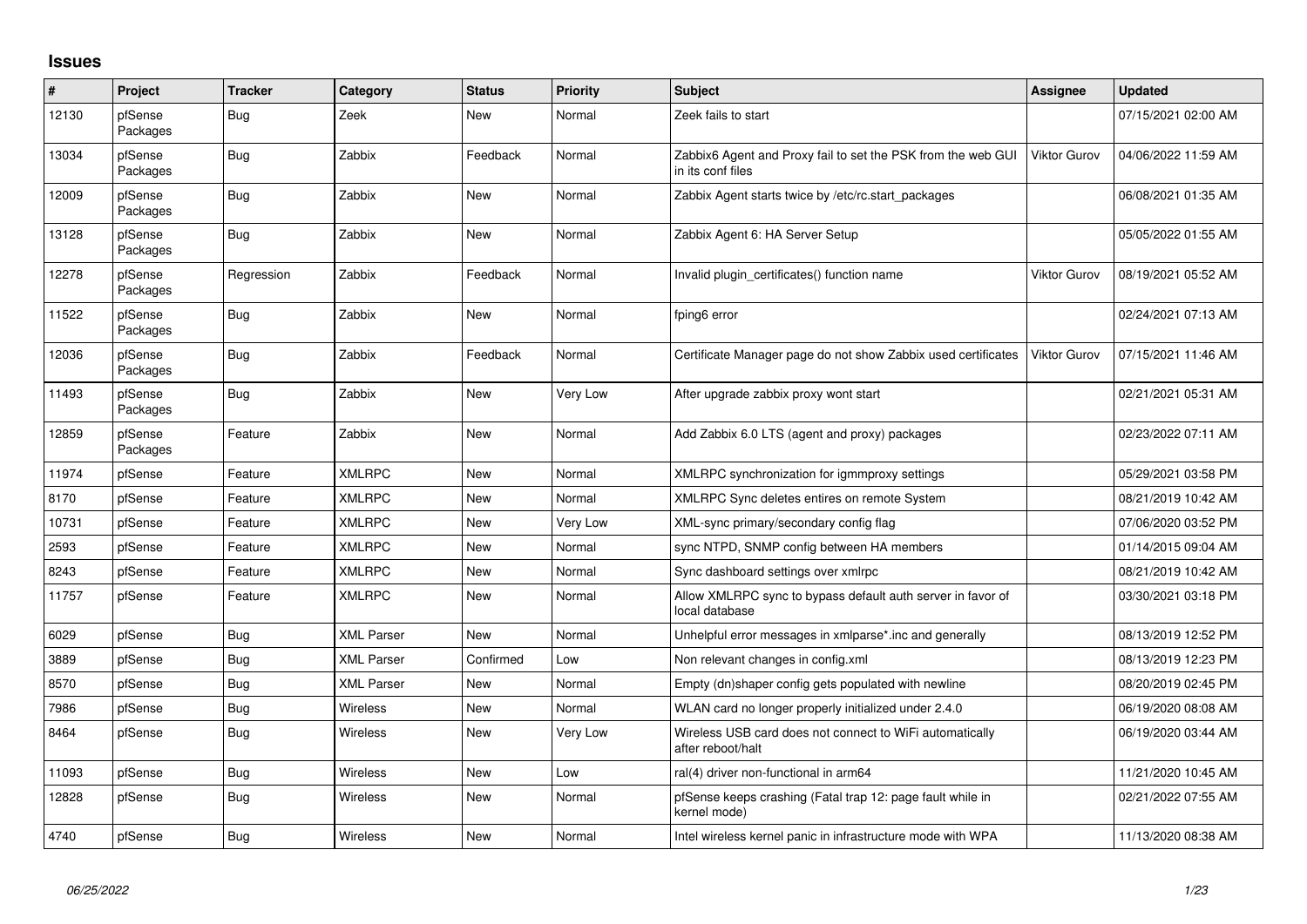## **Issues**

| $\#$  | Project             | <b>Tracker</b> | Category          | <b>Status</b> | Priority | <b>Subject</b>                                                                    | Assignee            | <b>Updated</b>      |
|-------|---------------------|----------------|-------------------|---------------|----------|-----------------------------------------------------------------------------------|---------------------|---------------------|
| 12130 | pfSense<br>Packages | Bug            | Zeek              | <b>New</b>    | Normal   | Zeek fails to start                                                               |                     | 07/15/2021 02:00 AM |
| 13034 | pfSense<br>Packages | <b>Bug</b>     | Zabbix            | Feedback      | Normal   | Zabbix6 Agent and Proxy fail to set the PSK from the web GUI<br>in its conf files | <b>Viktor Gurov</b> | 04/06/2022 11:59 AM |
| 12009 | pfSense<br>Packages | Bug            | Zabbix            | <b>New</b>    | Normal   | Zabbix Agent starts twice by /etc/rc.start packages                               |                     | 06/08/2021 01:35 AM |
| 13128 | pfSense<br>Packages | Bug            | Zabbix            | <b>New</b>    | Normal   | Zabbix Agent 6: HA Server Setup                                                   |                     | 05/05/2022 01:55 AM |
| 12278 | pfSense<br>Packages | Regression     | Zabbix            | Feedback      | Normal   | Invalid plugin certificates() function name                                       | <b>Viktor Gurov</b> | 08/19/2021 05:52 AM |
| 11522 | pfSense<br>Packages | <b>Bug</b>     | Zabbix            | <b>New</b>    | Normal   | fping6 error                                                                      |                     | 02/24/2021 07:13 AM |
| 12036 | pfSense<br>Packages | Bug            | Zabbix            | Feedback      | Normal   | Certificate Manager page do not show Zabbix used certificates                     | Viktor Gurov        | 07/15/2021 11:46 AM |
| 11493 | pfSense<br>Packages | Bug            | Zabbix            | <b>New</b>    | Very Low | After upgrade zabbix proxy wont start                                             |                     | 02/21/2021 05:31 AM |
| 12859 | pfSense<br>Packages | Feature        | Zabbix            | <b>New</b>    | Normal   | Add Zabbix 6.0 LTS (agent and proxy) packages                                     |                     | 02/23/2022 07:11 AM |
| 11974 | pfSense             | Feature        | <b>XMLRPC</b>     | <b>New</b>    | Normal   | XMLRPC synchronization for igmmproxy settings                                     |                     | 05/29/2021 03:58 PM |
| 8170  | pfSense             | Feature        | <b>XMLRPC</b>     | <b>New</b>    | Normal   | XMLRPC Sync deletes entires on remote System                                      |                     | 08/21/2019 10:42 AM |
| 10731 | pfSense             | Feature        | <b>XMLRPC</b>     | New           | Very Low | XML-sync primary/secondary config flag                                            |                     | 07/06/2020 03:52 PM |
| 2593  | pfSense             | Feature        | <b>XMLRPC</b>     | New           | Normal   | sync NTPD, SNMP config between HA members                                         |                     | 01/14/2015 09:04 AM |
| 8243  | pfSense             | Feature        | <b>XMLRPC</b>     | <b>New</b>    | Normal   | Sync dashboard settings over xmlrpc                                               |                     | 08/21/2019 10:42 AM |
| 11757 | pfSense             | Feature        | <b>XMLRPC</b>     | <b>New</b>    | Normal   | Allow XMLRPC sync to bypass default auth server in favor of<br>local database     |                     | 03/30/2021 03:18 PM |
| 6029  | pfSense             | <b>Bug</b>     | <b>XML Parser</b> | <b>New</b>    | Normal   | Unhelpful error messages in xmlparse*.inc and generally                           |                     | 08/13/2019 12:52 PM |
| 3889  | pfSense             | <b>Bug</b>     | <b>XML Parser</b> | Confirmed     | Low      | Non relevant changes in config.xml                                                |                     | 08/13/2019 12:23 PM |
| 8570  | pfSense             | Bug            | <b>XML Parser</b> | <b>New</b>    | Normal   | Empty (dn)shaper config gets populated with newline                               |                     | 08/20/2019 02:45 PM |
| 7986  | pfSense             | <b>Bug</b>     | <b>Wireless</b>   | <b>New</b>    | Normal   | WLAN card no longer properly initialized under 2.4.0                              |                     | 06/19/2020 08:08 AM |
| 8464  | pfSense             | <b>Bug</b>     | <b>Wireless</b>   | <b>New</b>    | Very Low | Wireless USB card does not connect to WiFi automatically<br>after reboot/halt     |                     | 06/19/2020 03:44 AM |
| 11093 | pfSense             | <b>Bug</b>     | Wireless          | <b>New</b>    | Low      | ral(4) driver non-functional in arm64                                             |                     | 11/21/2020 10:45 AM |
| 12828 | pfSense             | <b>Bug</b>     | <b>Wireless</b>   | <b>New</b>    | Normal   | pfSense keeps crashing (Fatal trap 12: page fault while in<br>kernel mode)        |                     | 02/21/2022 07:55 AM |
| 4740  | pfSense             | <b>Bug</b>     | <b>Wireless</b>   | <b>New</b>    | Normal   | Intel wireless kernel panic in infrastructure mode with WPA                       |                     | 11/13/2020 08:38 AM |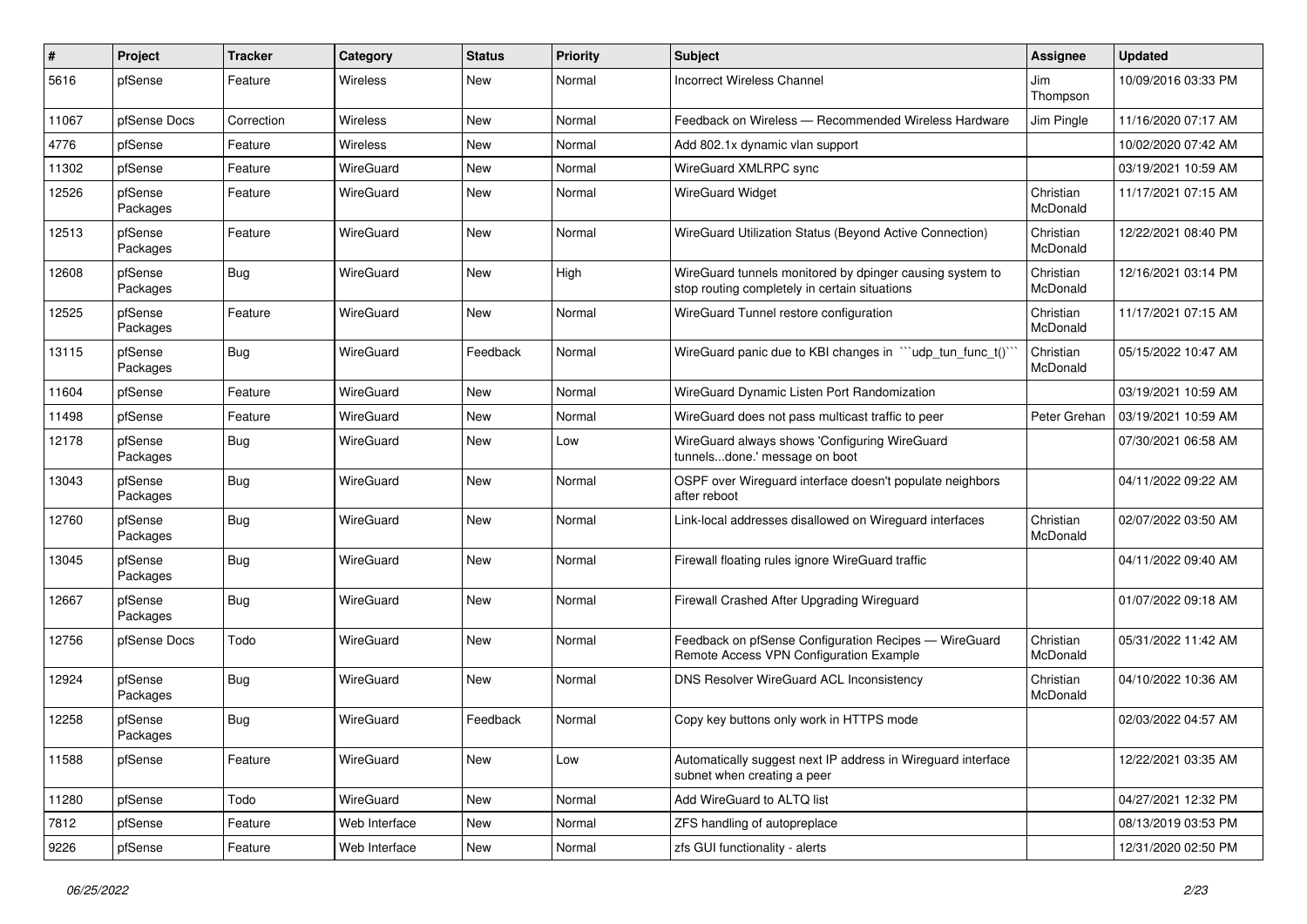| $\pmb{\#}$ | Project             | <b>Tracker</b> | Category        | <b>Status</b> | <b>Priority</b> | <b>Subject</b>                                                                                            | Assignee              | <b>Updated</b>      |
|------------|---------------------|----------------|-----------------|---------------|-----------------|-----------------------------------------------------------------------------------------------------------|-----------------------|---------------------|
| 5616       | pfSense             | Feature        | <b>Wireless</b> | <b>New</b>    | Normal          | <b>Incorrect Wireless Channel</b>                                                                         | Jim<br>Thompson       | 10/09/2016 03:33 PM |
| 11067      | pfSense Docs        | Correction     | <b>Wireless</b> | <b>New</b>    | Normal          | Feedback on Wireless - Recommended Wireless Hardware                                                      | Jim Pingle            | 11/16/2020 07:17 AM |
| 4776       | pfSense             | Feature        | Wireless        | <b>New</b>    | Normal          | Add 802.1x dynamic vlan support                                                                           |                       | 10/02/2020 07:42 AM |
| 11302      | pfSense             | Feature        | WireGuard       | <b>New</b>    | Normal          | WireGuard XMLRPC sync                                                                                     |                       | 03/19/2021 10:59 AM |
| 12526      | pfSense<br>Packages | Feature        | WireGuard       | <b>New</b>    | Normal          | <b>WireGuard Widget</b>                                                                                   | Christian<br>McDonald | 11/17/2021 07:15 AM |
| 12513      | pfSense<br>Packages | Feature        | WireGuard       | <b>New</b>    | Normal          | WireGuard Utilization Status (Beyond Active Connection)                                                   | Christian<br>McDonald | 12/22/2021 08:40 PM |
| 12608      | pfSense<br>Packages | <b>Bug</b>     | WireGuard       | <b>New</b>    | High            | WireGuard tunnels monitored by dpinger causing system to<br>stop routing completely in certain situations | Christian<br>McDonald | 12/16/2021 03:14 PM |
| 12525      | pfSense<br>Packages | Feature        | WireGuard       | <b>New</b>    | Normal          | WireGuard Tunnel restore configuration                                                                    | Christian<br>McDonald | 11/17/2021 07:15 AM |
| 13115      | pfSense<br>Packages | Bug            | WireGuard       | Feedback      | Normal          | WireGuard panic due to KBI changes in "'udp tun func t()'                                                 | Christian<br>McDonald | 05/15/2022 10:47 AM |
| 11604      | pfSense             | Feature        | WireGuard       | <b>New</b>    | Normal          | WireGuard Dynamic Listen Port Randomization                                                               |                       | 03/19/2021 10:59 AM |
| 11498      | pfSense             | Feature        | WireGuard       | New           | Normal          | WireGuard does not pass multicast traffic to peer                                                         | Peter Grehan          | 03/19/2021 10:59 AM |
| 12178      | pfSense<br>Packages | <b>Bug</b>     | WireGuard       | <b>New</b>    | Low             | WireGuard always shows 'Configuring WireGuard<br>tunnelsdone.' message on boot                            |                       | 07/30/2021 06:58 AM |
| 13043      | pfSense<br>Packages | Bug            | WireGuard       | <b>New</b>    | Normal          | OSPF over Wireguard interface doesn't populate neighbors<br>after reboot                                  |                       | 04/11/2022 09:22 AM |
| 12760      | pfSense<br>Packages | Bug            | WireGuard       | <b>New</b>    | Normal          | Link-local addresses disallowed on Wireguard interfaces                                                   | Christian<br>McDonald | 02/07/2022 03:50 AM |
| 13045      | pfSense<br>Packages | Bug            | WireGuard       | <b>New</b>    | Normal          | Firewall floating rules ignore WireGuard traffic                                                          |                       | 04/11/2022 09:40 AM |
| 12667      | pfSense<br>Packages | Bug            | WireGuard       | <b>New</b>    | Normal          | Firewall Crashed After Upgrading Wireguard                                                                |                       | 01/07/2022 09:18 AM |
| 12756      | pfSense Docs        | Todo           | WireGuard       | <b>New</b>    | Normal          | Feedback on pfSense Configuration Recipes - WireGuard<br>Remote Access VPN Configuration Example          | Christian<br>McDonald | 05/31/2022 11:42 AM |
| 12924      | pfSense<br>Packages | Bug            | WireGuard       | <b>New</b>    | Normal          | DNS Resolver WireGuard ACL Inconsistency                                                                  | Christian<br>McDonald | 04/10/2022 10:36 AM |
| 12258      | pfSense<br>Packages | Bug            | WireGuard       | Feedback      | Normal          | Copy key buttons only work in HTTPS mode                                                                  |                       | 02/03/2022 04:57 AM |
| 11588      | pfSense             | Feature        | WireGuard       | New           | Low             | Automatically suggest next IP address in Wireguard interface<br>subnet when creating a peer               |                       | 12/22/2021 03:35 AM |
| 11280      | pfSense             | Todo           | WireGuard       | New           | Normal          | Add WireGuard to ALTQ list                                                                                |                       | 04/27/2021 12:32 PM |
| 7812       | pfSense             | Feature        | Web Interface   | New           | Normal          | ZFS handling of autopreplace                                                                              |                       | 08/13/2019 03:53 PM |
| 9226       | pfSense             | Feature        | Web Interface   | New           | Normal          | zfs GUI functionality - alerts                                                                            |                       | 12/31/2020 02:50 PM |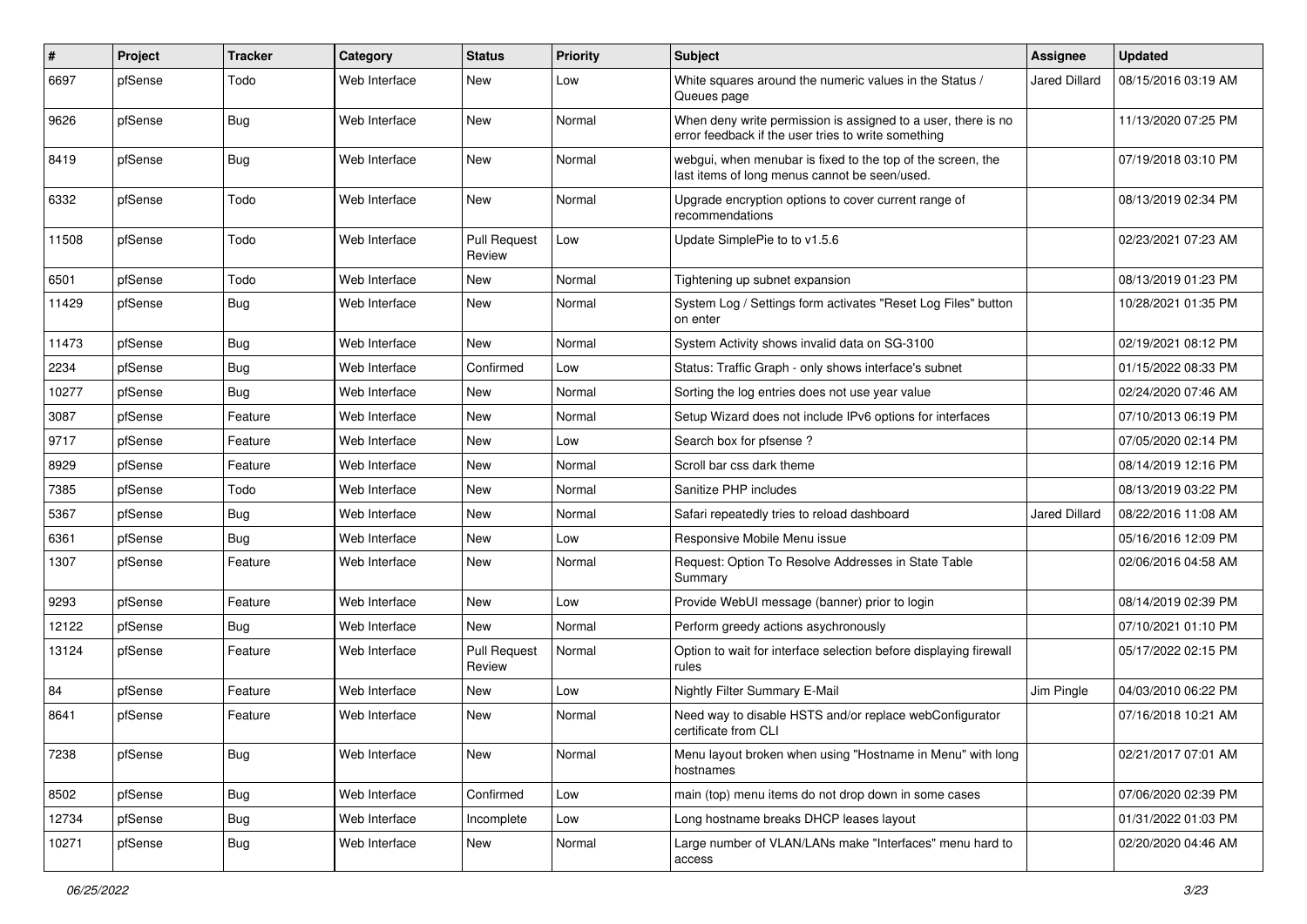| $\vert$ # | Project | <b>Tracker</b> | Category      | <b>Status</b>                 | <b>Priority</b> | Subject                                                                                                              | Assignee      | <b>Updated</b>      |
|-----------|---------|----------------|---------------|-------------------------------|-----------------|----------------------------------------------------------------------------------------------------------------------|---------------|---------------------|
| 6697      | pfSense | Todo           | Web Interface | <b>New</b>                    | Low             | White squares around the numeric values in the Status /<br>Queues page                                               | Jared Dillard | 08/15/2016 03:19 AM |
| 9626      | pfSense | Bug            | Web Interface | New                           | Normal          | When deny write permission is assigned to a user, there is no<br>error feedback if the user tries to write something |               | 11/13/2020 07:25 PM |
| 8419      | pfSense | <b>Bug</b>     | Web Interface | <b>New</b>                    | Normal          | webgui, when menubar is fixed to the top of the screen, the<br>last items of long menus cannot be seen/used.         |               | 07/19/2018 03:10 PM |
| 6332      | pfSense | Todo           | Web Interface | <b>New</b>                    | Normal          | Upgrade encryption options to cover current range of<br>recommendations                                              |               | 08/13/2019 02:34 PM |
| 11508     | pfSense | Todo           | Web Interface | <b>Pull Request</b><br>Review | Low             | Update SimplePie to to v1.5.6                                                                                        |               | 02/23/2021 07:23 AM |
| 6501      | pfSense | Todo           | Web Interface | New                           | Normal          | Tightening up subnet expansion                                                                                       |               | 08/13/2019 01:23 PM |
| 11429     | pfSense | Bug            | Web Interface | <b>New</b>                    | Normal          | System Log / Settings form activates "Reset Log Files" button<br>on enter                                            |               | 10/28/2021 01:35 PM |
| 11473     | pfSense | Bug            | Web Interface | New                           | Normal          | System Activity shows invalid data on SG-3100                                                                        |               | 02/19/2021 08:12 PM |
| 2234      | pfSense | Bug            | Web Interface | Confirmed                     | Low             | Status: Traffic Graph - only shows interface's subnet                                                                |               | 01/15/2022 08:33 PM |
| 10277     | pfSense | Bug            | Web Interface | <b>New</b>                    | Normal          | Sorting the log entries does not use year value                                                                      |               | 02/24/2020 07:46 AM |
| 3087      | pfSense | Feature        | Web Interface | New                           | Normal          | Setup Wizard does not include IPv6 options for interfaces                                                            |               | 07/10/2013 06:19 PM |
| 9717      | pfSense | Feature        | Web Interface | <b>New</b>                    | Low             | Search box for pfsense?                                                                                              |               | 07/05/2020 02:14 PM |
| 8929      | pfSense | Feature        | Web Interface | New                           | Normal          | Scroll bar css dark theme                                                                                            |               | 08/14/2019 12:16 PM |
| 7385      | pfSense | Todo           | Web Interface | New                           | Normal          | Sanitize PHP includes                                                                                                |               | 08/13/2019 03:22 PM |
| 5367      | pfSense | Bug            | Web Interface | <b>New</b>                    | Normal          | Safari repeatedly tries to reload dashboard                                                                          | Jared Dillard | 08/22/2016 11:08 AM |
| 6361      | pfSense | Bug            | Web Interface | New                           | Low             | Responsive Mobile Menu issue                                                                                         |               | 05/16/2016 12:09 PM |
| 1307      | pfSense | Feature        | Web Interface | <b>New</b>                    | Normal          | Request: Option To Resolve Addresses in State Table<br>Summary                                                       |               | 02/06/2016 04:58 AM |
| 9293      | pfSense | Feature        | Web Interface | New                           | Low             | Provide WebUI message (banner) prior to login                                                                        |               | 08/14/2019 02:39 PM |
| 12122     | pfSense | <b>Bug</b>     | Web Interface | <b>New</b>                    | Normal          | Perform greedy actions asychronously                                                                                 |               | 07/10/2021 01:10 PM |
| 13124     | pfSense | Feature        | Web Interface | <b>Pull Request</b><br>Review | Normal          | Option to wait for interface selection before displaying firewall<br>rules                                           |               | 05/17/2022 02:15 PM |
| 84        | pfSense | Feature        | Web Interface | <b>New</b>                    | Low             | Nightly Filter Summary E-Mail                                                                                        | Jim Pingle    | 04/03/2010 06:22 PM |
| 8641      | pfSense | Feature        | Web Interface | New                           | Normal          | Need way to disable HSTS and/or replace webConfigurator<br>certificate from CLI                                      |               | 07/16/2018 10:21 AM |
| 7238      | pfSense | <b>Bug</b>     | Web Interface | New                           | Normal          | Menu layout broken when using "Hostname in Menu" with long<br>hostnames                                              |               | 02/21/2017 07:01 AM |
| 8502      | pfSense | <b>Bug</b>     | Web Interface | Confirmed                     | Low             | main (top) menu items do not drop down in some cases                                                                 |               | 07/06/2020 02:39 PM |
| 12734     | pfSense | <b>Bug</b>     | Web Interface | Incomplete                    | Low             | Long hostname breaks DHCP leases layout                                                                              |               | 01/31/2022 01:03 PM |
| 10271     | pfSense | <b>Bug</b>     | Web Interface | New                           | Normal          | Large number of VLAN/LANs make "Interfaces" menu hard to<br>access                                                   |               | 02/20/2020 04:46 AM |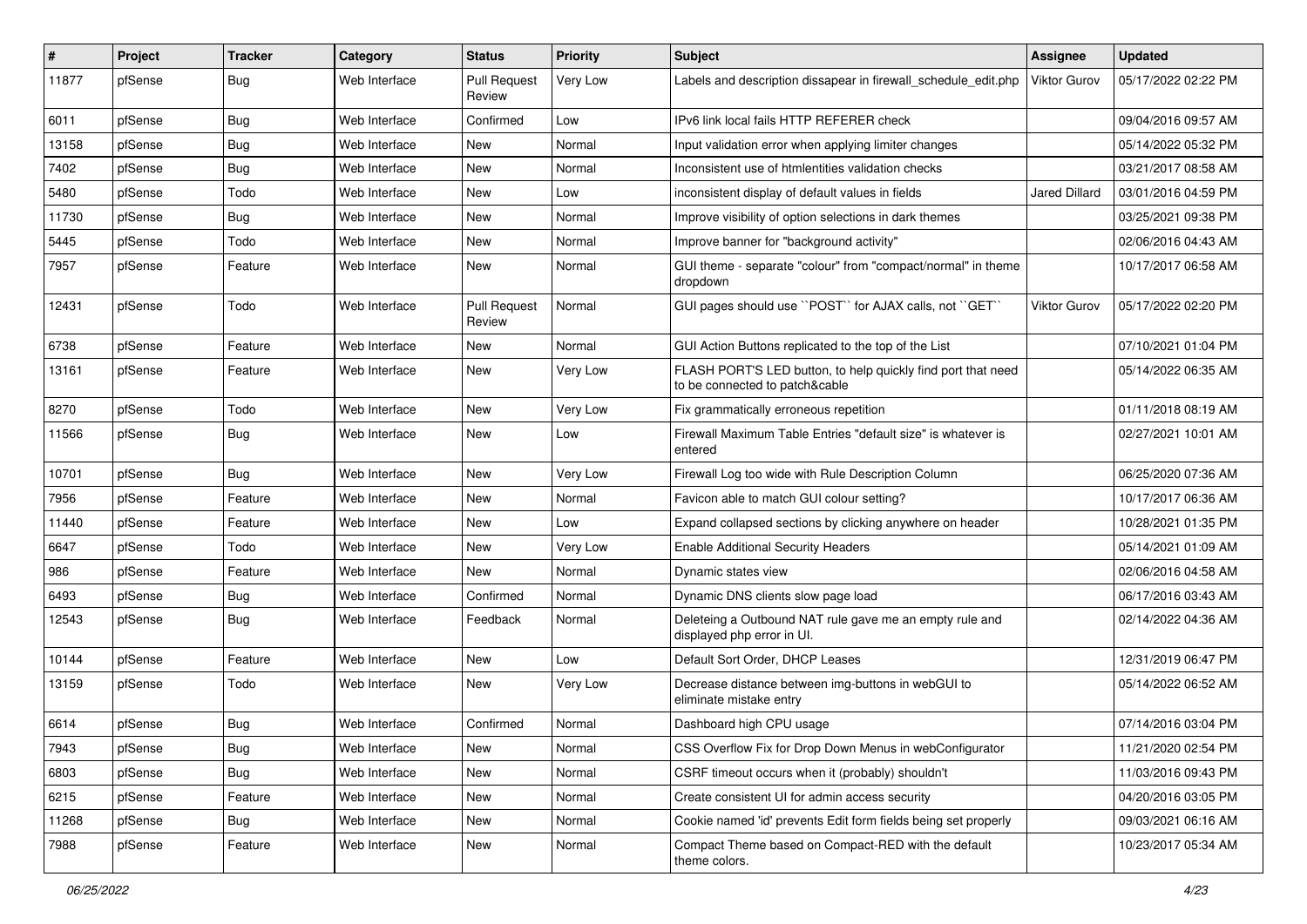| #     | Project | <b>Tracker</b> | Category      | <b>Status</b>                 | <b>Priority</b> | <b>Subject</b>                                                                                 | <b>Assignee</b>     | <b>Updated</b>      |
|-------|---------|----------------|---------------|-------------------------------|-----------------|------------------------------------------------------------------------------------------------|---------------------|---------------------|
| 11877 | pfSense | <b>Bug</b>     | Web Interface | <b>Pull Request</b><br>Review | Very Low        | Labels and description dissapear in firewall schedule edit.php                                 | <b>Viktor Gurov</b> | 05/17/2022 02:22 PM |
| 6011  | pfSense | Bug            | Web Interface | Confirmed                     | Low             | IPv6 link local fails HTTP REFERER check                                                       |                     | 09/04/2016 09:57 AM |
| 13158 | pfSense | Bug            | Web Interface | New                           | Normal          | Input validation error when applying limiter changes                                           |                     | 05/14/2022 05:32 PM |
| 7402  | pfSense | Bug            | Web Interface | New                           | Normal          | Inconsistent use of htmlentities validation checks                                             |                     | 03/21/2017 08:58 AM |
| 5480  | pfSense | Todo           | Web Interface | New                           | Low             | inconsistent display of default values in fields                                               | Jared Dillard       | 03/01/2016 04:59 PM |
| 11730 | pfSense | <b>Bug</b>     | Web Interface | New                           | Normal          | Improve visibility of option selections in dark themes                                         |                     | 03/25/2021 09:38 PM |
| 5445  | pfSense | Todo           | Web Interface | New                           | Normal          | Improve banner for "background activity"                                                       |                     | 02/06/2016 04:43 AM |
| 7957  | pfSense | Feature        | Web Interface | New                           | Normal          | GUI theme - separate "colour" from "compact/normal" in theme<br>dropdown                       |                     | 10/17/2017 06:58 AM |
| 12431 | pfSense | Todo           | Web Interface | <b>Pull Request</b><br>Review | Normal          | GUI pages should use "POST" for AJAX calls, not "GET"                                          | Viktor Gurov        | 05/17/2022 02:20 PM |
| 6738  | pfSense | Feature        | Web Interface | <b>New</b>                    | Normal          | GUI Action Buttons replicated to the top of the List                                           |                     | 07/10/2021 01:04 PM |
| 13161 | pfSense | Feature        | Web Interface | New                           | Very Low        | FLASH PORT'S LED button, to help quickly find port that need<br>to be connected to patch&cable |                     | 05/14/2022 06:35 AM |
| 8270  | pfSense | Todo           | Web Interface | <b>New</b>                    | Very Low        | Fix grammatically erroneous repetition                                                         |                     | 01/11/2018 08:19 AM |
| 11566 | pfSense | Bug            | Web Interface | New                           | Low             | Firewall Maximum Table Entries "default size" is whatever is<br>entered                        |                     | 02/27/2021 10:01 AM |
| 10701 | pfSense | Bug            | Web Interface | <b>New</b>                    | Very Low        | Firewall Log too wide with Rule Description Column                                             |                     | 06/25/2020 07:36 AM |
| 7956  | pfSense | Feature        | Web Interface | New                           | Normal          | Favicon able to match GUI colour setting?                                                      |                     | 10/17/2017 06:36 AM |
| 11440 | pfSense | Feature        | Web Interface | New                           | Low             | Expand collapsed sections by clicking anywhere on header                                       |                     | 10/28/2021 01:35 PM |
| 6647  | pfSense | Todo           | Web Interface | New                           | Very Low        | <b>Enable Additional Security Headers</b>                                                      |                     | 05/14/2021 01:09 AM |
| 986   | pfSense | Feature        | Web Interface | New                           | Normal          | Dynamic states view                                                                            |                     | 02/06/2016 04:58 AM |
| 6493  | pfSense | Bug            | Web Interface | Confirmed                     | Normal          | Dynamic DNS clients slow page load                                                             |                     | 06/17/2016 03:43 AM |
| 12543 | pfSense | Bug            | Web Interface | Feedback                      | Normal          | Deleteing a Outbound NAT rule gave me an empty rule and<br>displayed php error in UI.          |                     | 02/14/2022 04:36 AM |
| 10144 | pfSense | Feature        | Web Interface | New                           | Low             | Default Sort Order, DHCP Leases                                                                |                     | 12/31/2019 06:47 PM |
| 13159 | pfSense | Todo           | Web Interface | New                           | Very Low        | Decrease distance between img-buttons in webGUI to<br>eliminate mistake entry                  |                     | 05/14/2022 06:52 AM |
| 6614  | pfSense | Bug            | Web Interface | Confirmed                     | Normal          | Dashboard high CPU usage                                                                       |                     | 07/14/2016 03:04 PM |
| 7943  | pfSense | Bug            | Web Interface | New                           | Normal          | CSS Overflow Fix for Drop Down Menus in webConfigurator                                        |                     | 11/21/2020 02:54 PM |
| 6803  | pfSense | <b>Bug</b>     | Web Interface | New                           | Normal          | CSRF timeout occurs when it (probably) shouldn't                                               |                     | 11/03/2016 09:43 PM |
| 6215  | pfSense | Feature        | Web Interface | New                           | Normal          | Create consistent UI for admin access security                                                 |                     | 04/20/2016 03:05 PM |
| 11268 | pfSense | <b>Bug</b>     | Web Interface | New                           | Normal          | Cookie named 'id' prevents Edit form fields being set properly                                 |                     | 09/03/2021 06:16 AM |
| 7988  | pfSense | Feature        | Web Interface | New                           | Normal          | Compact Theme based on Compact-RED with the default<br>theme colors.                           |                     | 10/23/2017 05:34 AM |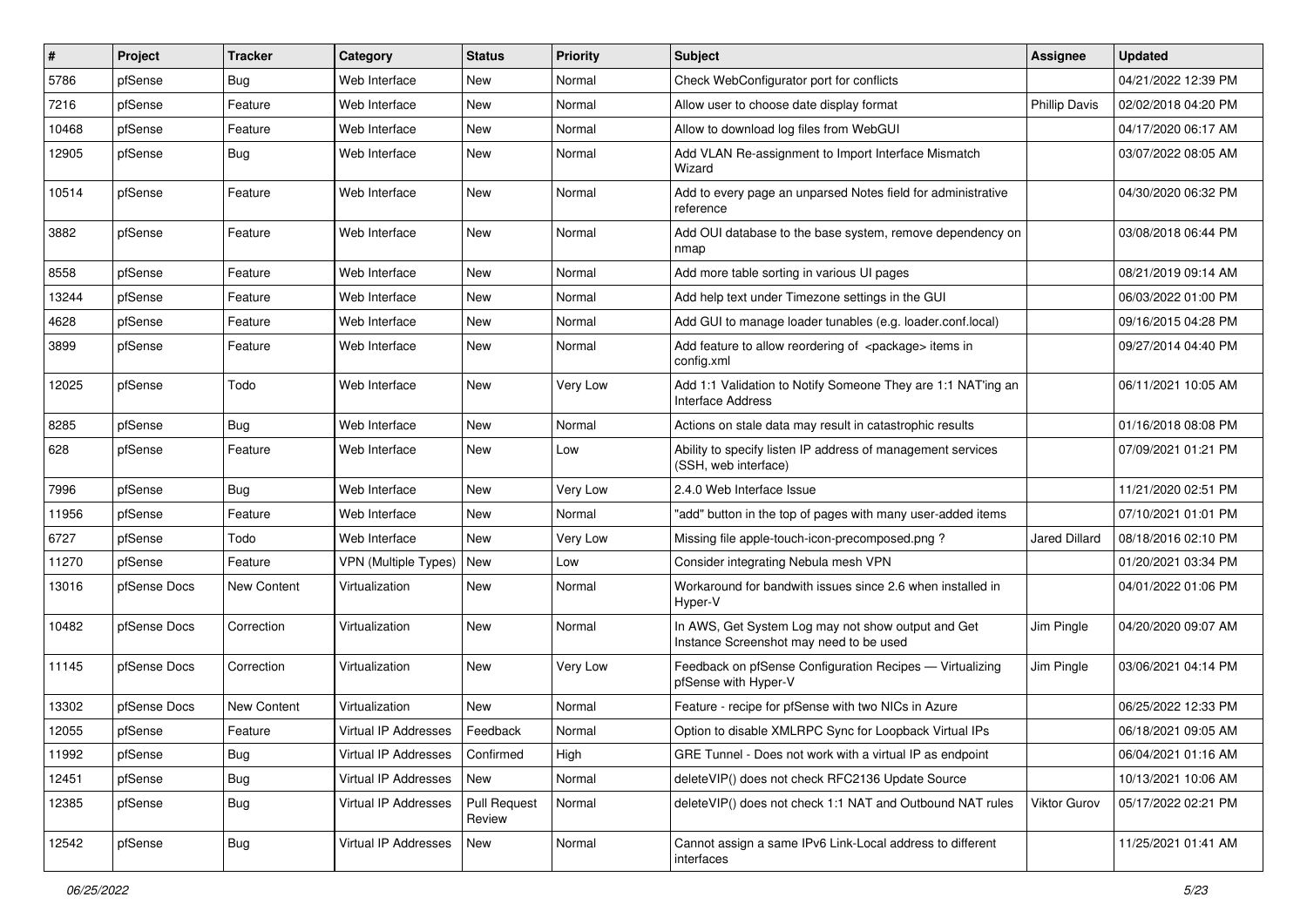| #     | Project      | <b>Tracker</b> | Category                    | <b>Status</b>                 | <b>Priority</b> | Subject                                                                                       | <b>Assignee</b>      | <b>Updated</b>      |
|-------|--------------|----------------|-----------------------------|-------------------------------|-----------------|-----------------------------------------------------------------------------------------------|----------------------|---------------------|
| 5786  | pfSense      | Bug            | Web Interface               | New                           | Normal          | Check WebConfigurator port for conflicts                                                      |                      | 04/21/2022 12:39 PM |
| 7216  | pfSense      | Feature        | Web Interface               | New                           | Normal          | Allow user to choose date display format                                                      | <b>Phillip Davis</b> | 02/02/2018 04:20 PM |
| 10468 | pfSense      | Feature        | Web Interface               | New                           | Normal          | Allow to download log files from WebGUI                                                       |                      | 04/17/2020 06:17 AM |
| 12905 | pfSense      | <b>Bug</b>     | Web Interface               | New                           | Normal          | Add VLAN Re-assignment to Import Interface Mismatch<br>Wizard                                 |                      | 03/07/2022 08:05 AM |
| 10514 | pfSense      | Feature        | Web Interface               | <b>New</b>                    | Normal          | Add to every page an unparsed Notes field for administrative<br>reference                     |                      | 04/30/2020 06:32 PM |
| 3882  | pfSense      | Feature        | Web Interface               | <b>New</b>                    | Normal          | Add OUI database to the base system, remove dependency on<br>nmap                             |                      | 03/08/2018 06:44 PM |
| 8558  | pfSense      | Feature        | Web Interface               | New                           | Normal          | Add more table sorting in various UI pages                                                    |                      | 08/21/2019 09:14 AM |
| 13244 | pfSense      | Feature        | Web Interface               | New                           | Normal          | Add help text under Timezone settings in the GUI                                              |                      | 06/03/2022 01:00 PM |
| 4628  | pfSense      | Feature        | Web Interface               | New                           | Normal          | Add GUI to manage loader tunables (e.g. loader.conf.local)                                    |                      | 09/16/2015 04:28 PM |
| 3899  | pfSense      | Feature        | Web Interface               | New                           | Normal          | Add feature to allow reordering of <package> items in<br/>config.xml</package>                |                      | 09/27/2014 04:40 PM |
| 12025 | pfSense      | Todo           | Web Interface               | New                           | Very Low        | Add 1:1 Validation to Notify Someone They are 1:1 NAT'ing an<br><b>Interface Address</b>      |                      | 06/11/2021 10:05 AM |
| 8285  | pfSense      | Bug            | Web Interface               | <b>New</b>                    | Normal          | Actions on stale data may result in catastrophic results                                      |                      | 01/16/2018 08:08 PM |
| 628   | pfSense      | Feature        | Web Interface               | New                           | Low             | Ability to specify listen IP address of management services<br>(SSH, web interface)           |                      | 07/09/2021 01:21 PM |
| 7996  | pfSense      | Bug            | Web Interface               | <b>New</b>                    | Very Low        | 2.4.0 Web Interface Issue                                                                     |                      | 11/21/2020 02:51 PM |
| 11956 | pfSense      | Feature        | Web Interface               | <b>New</b>                    | Normal          | "add" button in the top of pages with many user-added items                                   |                      | 07/10/2021 01:01 PM |
| 6727  | pfSense      | Todo           | Web Interface               | New                           | Very Low        | Missing file apple-touch-icon-precomposed.png?                                                | Jared Dillard        | 08/18/2016 02:10 PM |
| 11270 | pfSense      | Feature        | <b>VPN</b> (Multiple Types) | New                           | Low             | Consider integrating Nebula mesh VPN                                                          |                      | 01/20/2021 03:34 PM |
| 13016 | pfSense Docs | New Content    | Virtualization              | <b>New</b>                    | Normal          | Workaround for bandwith issues since 2.6 when installed in<br>Hyper-V                         |                      | 04/01/2022 01:06 PM |
| 10482 | pfSense Docs | Correction     | Virtualization              | New                           | Normal          | In AWS, Get System Log may not show output and Get<br>Instance Screenshot may need to be used | Jim Pingle           | 04/20/2020 09:07 AM |
| 11145 | pfSense Docs | Correction     | Virtualization              | <b>New</b>                    | Very Low        | Feedback on pfSense Configuration Recipes - Virtualizing<br>pfSense with Hyper-V              | Jim Pingle           | 03/06/2021 04:14 PM |
| 13302 | pfSense Docs | New Content    | Virtualization              | New                           | Normal          | Feature - recipe for pfSense with two NICs in Azure                                           |                      | 06/25/2022 12:33 PM |
| 12055 | pfSense      | Feature        | Virtual IP Addresses        | Feedback                      | Normal          | Option to disable XMLRPC Sync for Loopback Virtual IPs                                        |                      | 06/18/2021 09:05 AM |
| 11992 | pfSense      | Bug            | Virtual IP Addresses        | Confirmed                     | High            | GRE Tunnel - Does not work with a virtual IP as endpoint                                      |                      | 06/04/2021 01:16 AM |
| 12451 | pfSense      | <b>Bug</b>     | Virtual IP Addresses        | New                           | Normal          | deleteVIP() does not check RFC2136 Update Source                                              |                      | 10/13/2021 10:06 AM |
| 12385 | pfSense      | <b>Bug</b>     | Virtual IP Addresses        | <b>Pull Request</b><br>Review | Normal          | deleteVIP() does not check 1:1 NAT and Outbound NAT rules                                     | Viktor Gurov         | 05/17/2022 02:21 PM |
| 12542 | pfSense      | <b>Bug</b>     | Virtual IP Addresses        | New                           | Normal          | Cannot assign a same IPv6 Link-Local address to different<br>interfaces                       |                      | 11/25/2021 01:41 AM |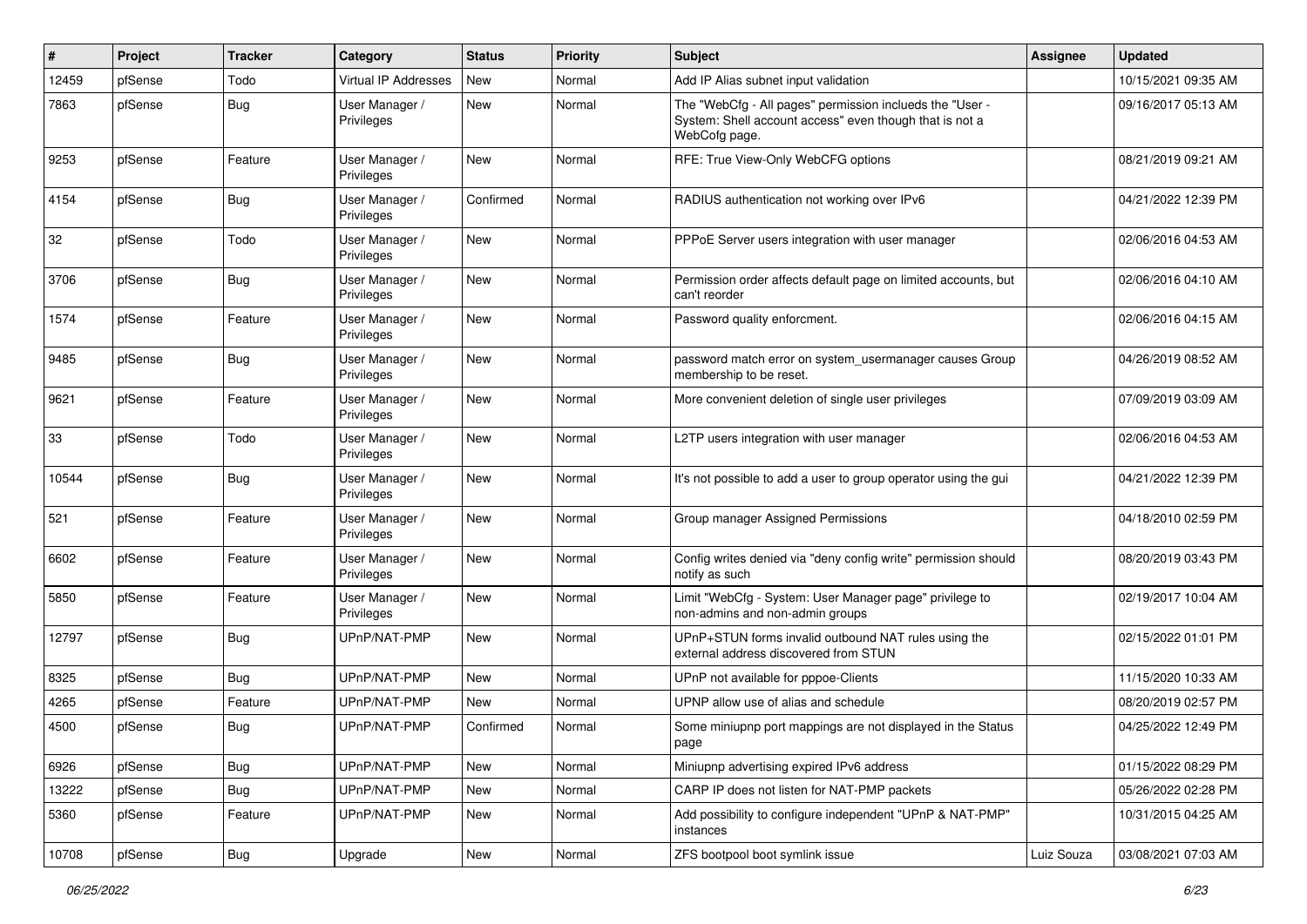| $\#$  | Project | <b>Tracker</b> | Category                     | <b>Status</b> | <b>Priority</b> | <b>Subject</b>                                                                                                                       | <b>Assignee</b> | <b>Updated</b>      |
|-------|---------|----------------|------------------------------|---------------|-----------------|--------------------------------------------------------------------------------------------------------------------------------------|-----------------|---------------------|
| 12459 | pfSense | Todo           | Virtual IP Addresses         | New           | Normal          | Add IP Alias subnet input validation                                                                                                 |                 | 10/15/2021 09:35 AM |
| 7863  | pfSense | <b>Bug</b>     | User Manager /<br>Privileges | New           | Normal          | The "WebCfg - All pages" permission inclueds the "User -<br>System: Shell account access" even though that is not a<br>WebCofg page. |                 | 09/16/2017 05:13 AM |
| 9253  | pfSense | Feature        | User Manager /<br>Privileges | <b>New</b>    | Normal          | RFE: True View-Only WebCFG options                                                                                                   |                 | 08/21/2019 09:21 AM |
| 4154  | pfSense | Bug            | User Manager /<br>Privileges | Confirmed     | Normal          | RADIUS authentication not working over IPv6                                                                                          |                 | 04/21/2022 12:39 PM |
| 32    | pfSense | Todo           | User Manager /<br>Privileges | <b>New</b>    | Normal          | PPPoE Server users integration with user manager                                                                                     |                 | 02/06/2016 04:53 AM |
| 3706  | pfSense | Bug            | User Manager /<br>Privileges | <b>New</b>    | Normal          | Permission order affects default page on limited accounts, but<br>can't reorder                                                      |                 | 02/06/2016 04:10 AM |
| 1574  | pfSense | Feature        | User Manager /<br>Privileges | New           | Normal          | Password quality enforcment.                                                                                                         |                 | 02/06/2016 04:15 AM |
| 9485  | pfSense | Bug            | User Manager /<br>Privileges | <b>New</b>    | Normal          | password match error on system_usermanager causes Group<br>membership to be reset.                                                   |                 | 04/26/2019 08:52 AM |
| 9621  | pfSense | Feature        | User Manager /<br>Privileges | <b>New</b>    | Normal          | More convenient deletion of single user privileges                                                                                   |                 | 07/09/2019 03:09 AM |
| 33    | pfSense | Todo           | User Manager /<br>Privileges | <b>New</b>    | Normal          | L2TP users integration with user manager                                                                                             |                 | 02/06/2016 04:53 AM |
| 10544 | pfSense | <b>Bug</b>     | User Manager /<br>Privileges | New           | Normal          | It's not possible to add a user to group operator using the gui                                                                      |                 | 04/21/2022 12:39 PM |
| 521   | pfSense | Feature        | User Manager /<br>Privileges | New           | Normal          | Group manager Assigned Permissions                                                                                                   |                 | 04/18/2010 02:59 PM |
| 6602  | pfSense | Feature        | User Manager /<br>Privileges | <b>New</b>    | Normal          | Config writes denied via "deny config write" permission should<br>notify as such                                                     |                 | 08/20/2019 03:43 PM |
| 5850  | pfSense | Feature        | User Manager /<br>Privileges | <b>New</b>    | Normal          | Limit "WebCfg - System: User Manager page" privilege to<br>non-admins and non-admin groups                                           |                 | 02/19/2017 10:04 AM |
| 12797 | pfSense | Bug            | UPnP/NAT-PMP                 | <b>New</b>    | Normal          | UPnP+STUN forms invalid outbound NAT rules using the<br>external address discovered from STUN                                        |                 | 02/15/2022 01:01 PM |
| 8325  | pfSense | Bug            | UPnP/NAT-PMP                 | New           | Normal          | UPnP not available for pppoe-Clients                                                                                                 |                 | 11/15/2020 10:33 AM |
| 4265  | pfSense | Feature        | UPnP/NAT-PMP                 | New           | Normal          | UPNP allow use of alias and schedule                                                                                                 |                 | 08/20/2019 02:57 PM |
| 4500  | pfSense | Bug            | UPnP/NAT-PMP                 | Confirmed     | Normal          | Some miniupnp port mappings are not displayed in the Status<br>page                                                                  |                 | 04/25/2022 12:49 PM |
| 6926  | pfSense | Bug            | UPnP/NAT-PMP                 | New           | Normal          | Miniupnp advertising expired IPv6 address                                                                                            |                 | 01/15/2022 08:29 PM |
| 13222 | pfSense | <b>Bug</b>     | UPnP/NAT-PMP                 | New           | Normal          | CARP IP does not listen for NAT-PMP packets                                                                                          |                 | 05/26/2022 02:28 PM |
| 5360  | pfSense | Feature        | UPnP/NAT-PMP                 | New           | Normal          | Add possibility to configure independent "UPnP & NAT-PMP"<br>instances                                                               |                 | 10/31/2015 04:25 AM |
| 10708 | pfSense | <b>Bug</b>     | Upgrade                      | New           | Normal          | ZFS bootpool boot symlink issue                                                                                                      | Luiz Souza      | 03/08/2021 07:03 AM |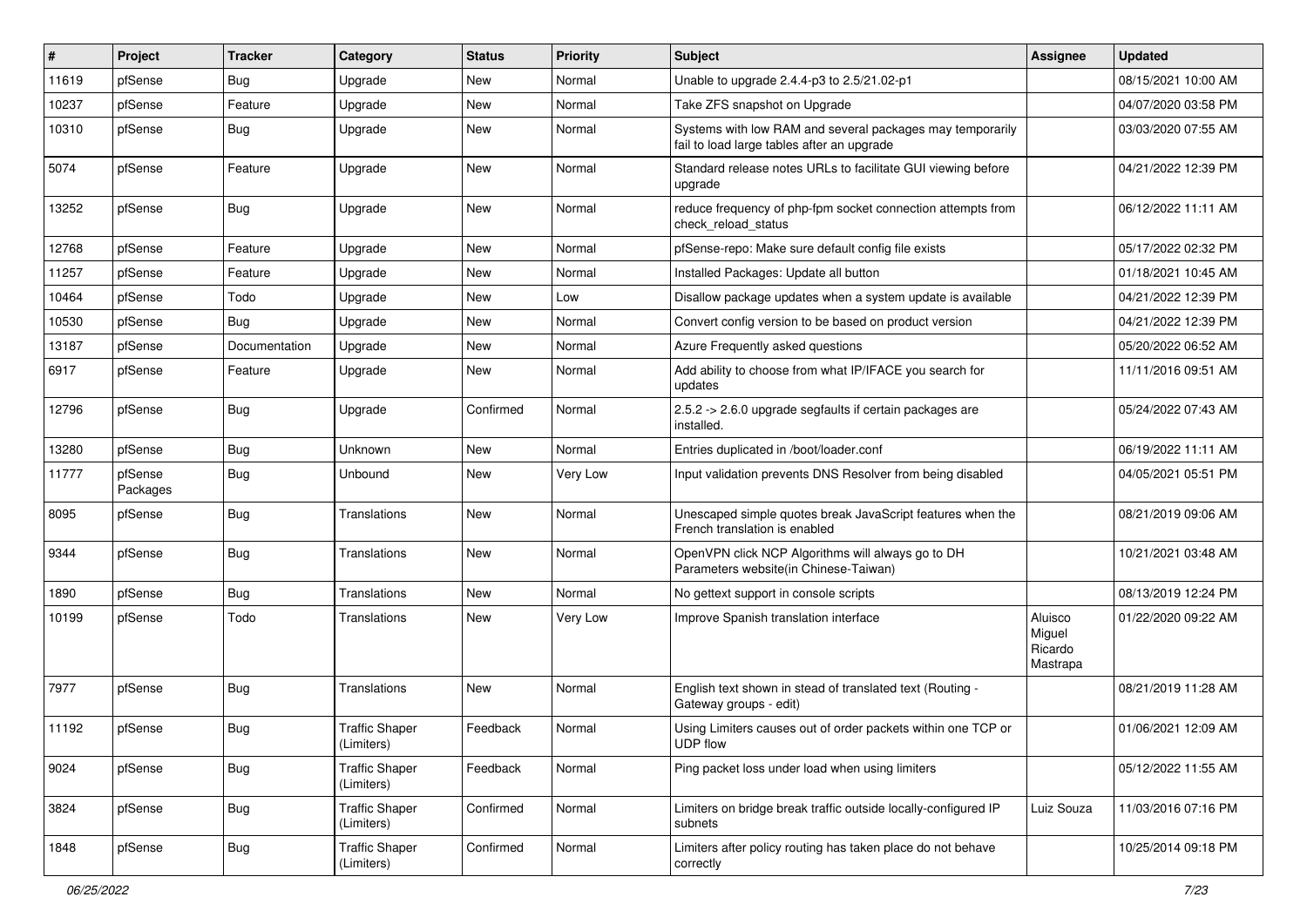| #     | Project             | <b>Tracker</b> | Category                            | <b>Status</b> | <b>Priority</b> | <b>Subject</b>                                                                                          | <b>Assignee</b>                          | <b>Updated</b>      |
|-------|---------------------|----------------|-------------------------------------|---------------|-----------------|---------------------------------------------------------------------------------------------------------|------------------------------------------|---------------------|
| 11619 | pfSense             | <b>Bug</b>     | Upgrade                             | New           | Normal          | Unable to upgrade 2.4.4-p3 to 2.5/21.02-p1                                                              |                                          | 08/15/2021 10:00 AM |
| 10237 | pfSense             | Feature        | Upgrade                             | New           | Normal          | Take ZFS snapshot on Upgrade                                                                            |                                          | 04/07/2020 03:58 PM |
| 10310 | pfSense             | Bug            | Upgrade                             | New           | Normal          | Systems with low RAM and several packages may temporarily<br>fail to load large tables after an upgrade |                                          | 03/03/2020 07:55 AM |
| 5074  | pfSense             | Feature        | Upgrade                             | <b>New</b>    | Normal          | Standard release notes URLs to facilitate GUI viewing before<br>upgrade                                 |                                          | 04/21/2022 12:39 PM |
| 13252 | pfSense             | Bug            | Upgrade                             | New           | Normal          | reduce frequency of php-fpm socket connection attempts from<br>check reload status                      |                                          | 06/12/2022 11:11 AM |
| 12768 | pfSense             | Feature        | Upgrade                             | <b>New</b>    | Normal          | pfSense-repo: Make sure default config file exists                                                      |                                          | 05/17/2022 02:32 PM |
| 11257 | pfSense             | Feature        | Upgrade                             | New           | Normal          | Installed Packages: Update all button                                                                   |                                          | 01/18/2021 10:45 AM |
| 10464 | pfSense             | Todo           | Upgrade                             | New           | Low             | Disallow package updates when a system update is available                                              |                                          | 04/21/2022 12:39 PM |
| 10530 | pfSense             | Bug            | Upgrade                             | New           | Normal          | Convert config version to be based on product version                                                   |                                          | 04/21/2022 12:39 PM |
| 13187 | pfSense             | Documentation  | Upgrade                             | <b>New</b>    | Normal          | Azure Frequently asked questions                                                                        |                                          | 05/20/2022 06:52 AM |
| 6917  | pfSense             | Feature        | Upgrade                             | New           | Normal          | Add ability to choose from what IP/IFACE you search for<br>updates                                      |                                          | 11/11/2016 09:51 AM |
| 12796 | pfSense             | Bug            | Upgrade                             | Confirmed     | Normal          | 2.5.2 -> 2.6.0 upgrade segfaults if certain packages are<br>installed.                                  |                                          | 05/24/2022 07:43 AM |
| 13280 | pfSense             | Bug            | Unknown                             | <b>New</b>    | Normal          | Entries duplicated in /boot/loader.conf                                                                 |                                          | 06/19/2022 11:11 AM |
| 11777 | pfSense<br>Packages | Bug            | Unbound                             | New           | Very Low        | Input validation prevents DNS Resolver from being disabled                                              |                                          | 04/05/2021 05:51 PM |
| 8095  | pfSense             | Bug            | Translations                        | <b>New</b>    | Normal          | Unescaped simple quotes break JavaScript features when the<br>French translation is enabled             |                                          | 08/21/2019 09:06 AM |
| 9344  | pfSense             | Bug            | Translations                        | New           | Normal          | OpenVPN click NCP Algorithms will always go to DH<br>Parameters website(in Chinese-Taiwan)              |                                          | 10/21/2021 03:48 AM |
| 1890  | pfSense             | Bug            | Translations                        | New           | Normal          | No gettext support in console scripts                                                                   |                                          | 08/13/2019 12:24 PM |
| 10199 | pfSense             | Todo           | Translations                        | New           | Very Low        | Improve Spanish translation interface                                                                   | Aluisco<br>Miguel<br>Ricardo<br>Mastrapa | 01/22/2020 09:22 AM |
| 7977  | pfSense             | Bug            | Translations                        | New           | Normal          | English text shown in stead of translated text (Routing -<br>Gateway groups - edit)                     |                                          | 08/21/2019 11:28 AM |
| 11192 | pfSense             | Bug            | <b>Traffic Shaper</b><br>(Limiters) | Feedback      | Normal          | Using Limiters causes out of order packets within one TCP or<br><b>UDP flow</b>                         |                                          | 01/06/2021 12:09 AM |
| 9024  | pfSense             | Bug            | <b>Traffic Shaper</b><br>(Limiters) | Feedback      | Normal          | Ping packet loss under load when using limiters                                                         |                                          | 05/12/2022 11:55 AM |
| 3824  | pfSense             | Bug            | <b>Traffic Shaper</b><br>(Limiters) | Confirmed     | Normal          | Limiters on bridge break traffic outside locally-configured IP<br>subnets                               | Luiz Souza                               | 11/03/2016 07:16 PM |
| 1848  | pfSense             | Bug            | <b>Traffic Shaper</b><br>(Limiters) | Confirmed     | Normal          | Limiters after policy routing has taken place do not behave<br>correctly                                |                                          | 10/25/2014 09:18 PM |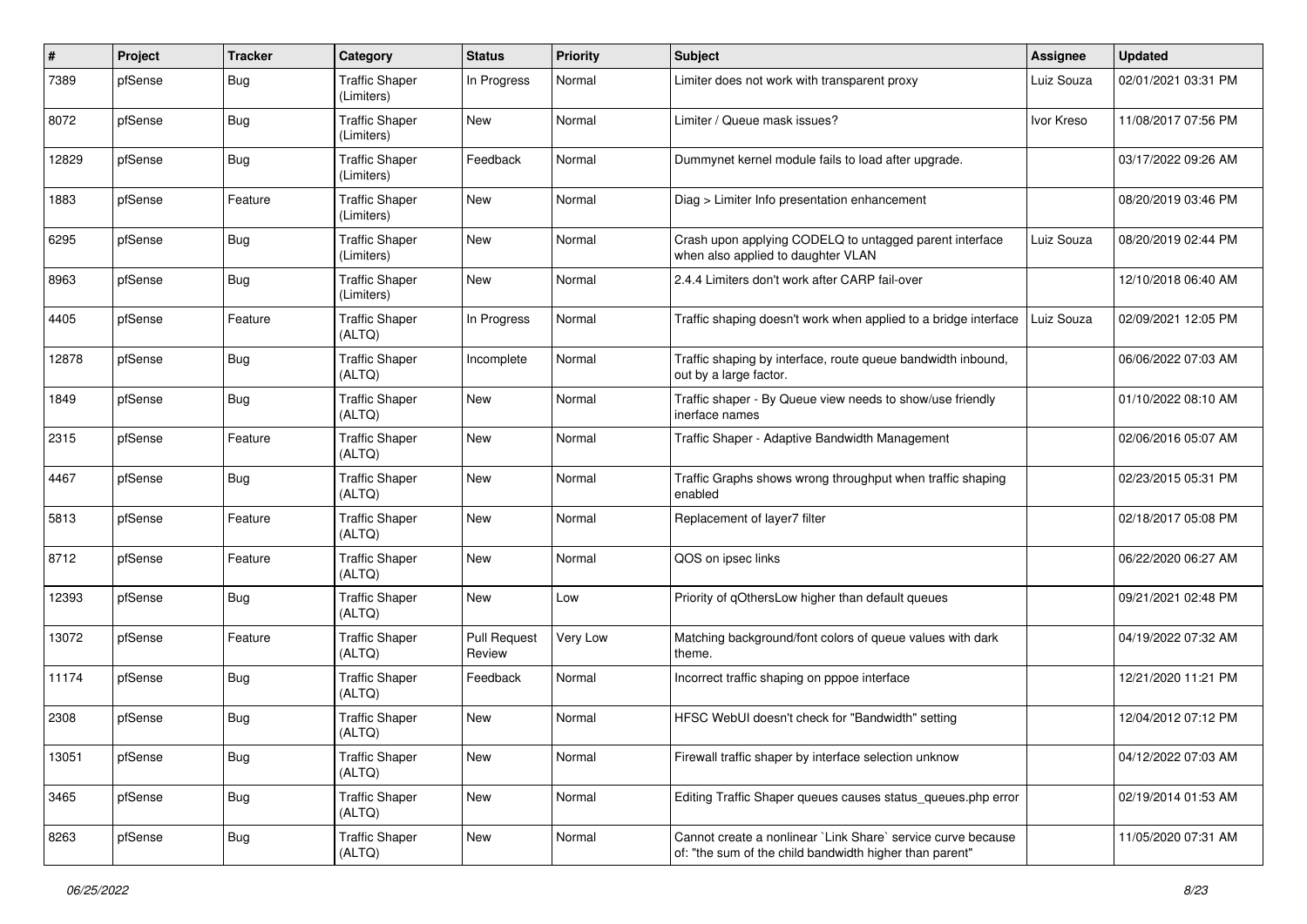| #     | Project | <b>Tracker</b> | Category                            | <b>Status</b>                 | <b>Priority</b> | <b>Subject</b>                                                                                                          | <b>Assignee</b> | <b>Updated</b>      |
|-------|---------|----------------|-------------------------------------|-------------------------------|-----------------|-------------------------------------------------------------------------------------------------------------------------|-----------------|---------------------|
| 7389  | pfSense | <b>Bug</b>     | <b>Traffic Shaper</b><br>(Limiters) | In Progress                   | Normal          | Limiter does not work with transparent proxy                                                                            | Luiz Souza      | 02/01/2021 03:31 PM |
| 8072  | pfSense | Bug            | <b>Traffic Shaper</b><br>(Limiters) | <b>New</b>                    | Normal          | Limiter / Queue mask issues?                                                                                            | Ivor Kreso      | 11/08/2017 07:56 PM |
| 12829 | pfSense | Bug            | <b>Traffic Shaper</b><br>(Limiters) | Feedback                      | Normal          | Dummynet kernel module fails to load after upgrade.                                                                     |                 | 03/17/2022 09:26 AM |
| 1883  | pfSense | Feature        | <b>Traffic Shaper</b><br>(Limiters) | <b>New</b>                    | Normal          | Diag > Limiter Info presentation enhancement                                                                            |                 | 08/20/2019 03:46 PM |
| 6295  | pfSense | Bug            | <b>Traffic Shaper</b><br>(Limiters) | <b>New</b>                    | Normal          | Crash upon applying CODELQ to untagged parent interface<br>when also applied to daughter VLAN                           | Luiz Souza      | 08/20/2019 02:44 PM |
| 8963  | pfSense | Bug            | <b>Traffic Shaper</b><br>(Limiters) | New                           | Normal          | 2.4.4 Limiters don't work after CARP fail-over                                                                          |                 | 12/10/2018 06:40 AM |
| 4405  | pfSense | Feature        | <b>Traffic Shaper</b><br>(ALTQ)     | In Progress                   | Normal          | Traffic shaping doesn't work when applied to a bridge interface                                                         | Luiz Souza      | 02/09/2021 12:05 PM |
| 12878 | pfSense | Bug            | <b>Traffic Shaper</b><br>(ALTQ)     | Incomplete                    | Normal          | Traffic shaping by interface, route queue bandwidth inbound,<br>out by a large factor.                                  |                 | 06/06/2022 07:03 AM |
| 1849  | pfSense | Bug            | <b>Traffic Shaper</b><br>(ALTQ)     | <b>New</b>                    | Normal          | Traffic shaper - By Queue view needs to show/use friendly<br>inerface names                                             |                 | 01/10/2022 08:10 AM |
| 2315  | pfSense | Feature        | <b>Traffic Shaper</b><br>(ALTQ)     | <b>New</b>                    | Normal          | Traffic Shaper - Adaptive Bandwidth Management                                                                          |                 | 02/06/2016 05:07 AM |
| 4467  | pfSense | Bug            | <b>Traffic Shaper</b><br>(ALTQ)     | <b>New</b>                    | Normal          | Traffic Graphs shows wrong throughput when traffic shaping<br>enabled                                                   |                 | 02/23/2015 05:31 PM |
| 5813  | pfSense | Feature        | <b>Traffic Shaper</b><br>(ALTQ)     | <b>New</b>                    | Normal          | Replacement of layer7 filter                                                                                            |                 | 02/18/2017 05:08 PM |
| 8712  | pfSense | Feature        | <b>Traffic Shaper</b><br>(ALTQ)     | <b>New</b>                    | Normal          | QOS on ipsec links                                                                                                      |                 | 06/22/2020 06:27 AM |
| 12393 | pfSense | Bug            | <b>Traffic Shaper</b><br>(ALTQ)     | <b>New</b>                    | Low             | Priority of gOthersLow higher than default queues                                                                       |                 | 09/21/2021 02:48 PM |
| 13072 | pfSense | Feature        | <b>Traffic Shaper</b><br>(ALTQ)     | <b>Pull Request</b><br>Review | Very Low        | Matching background/font colors of queue values with dark<br>theme.                                                     |                 | 04/19/2022 07:32 AM |
| 11174 | pfSense | Bug            | <b>Traffic Shaper</b><br>(ALTQ)     | Feedback                      | Normal          | Incorrect traffic shaping on pppoe interface                                                                            |                 | 12/21/2020 11:21 PM |
| 2308  | pfSense | Bug            | <b>Traffic Shaper</b><br>(ALTQ)     | <b>New</b>                    | Normal          | HFSC WebUI doesn't check for "Bandwidth" setting                                                                        |                 | 12/04/2012 07:12 PM |
| 13051 | pfSense | <b>Bug</b>     | <b>Traffic Shaper</b><br>(ALTQ)     | New                           | Normal          | Firewall traffic shaper by interface selection unknow                                                                   |                 | 04/12/2022 07:03 AM |
| 3465  | pfSense | <b>Bug</b>     | <b>Traffic Shaper</b><br>(ALTQ)     | New                           | Normal          | Editing Traffic Shaper queues causes status_queues.php error                                                            |                 | 02/19/2014 01:53 AM |
| 8263  | pfSense | <b>Bug</b>     | <b>Traffic Shaper</b><br>(ALTQ)     | New                           | Normal          | Cannot create a nonlinear `Link Share` service curve because<br>of: "the sum of the child bandwidth higher than parent" |                 | 11/05/2020 07:31 AM |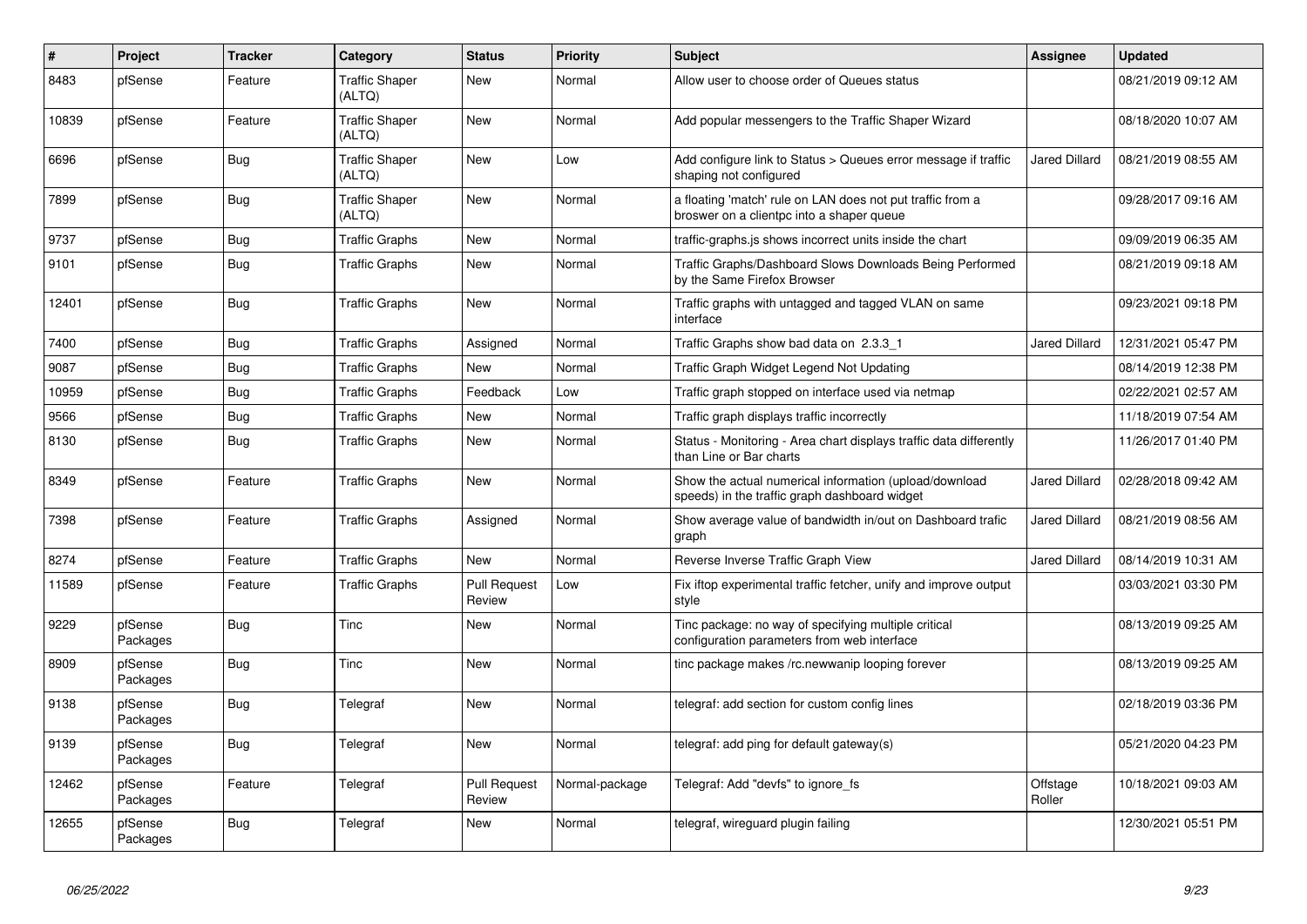| #     | <b>Project</b>      | <b>Tracker</b> | Category                        | <b>Status</b>                 | <b>Priority</b> | <b>Subject</b>                                                                                          | Assignee             | <b>Updated</b>      |
|-------|---------------------|----------------|---------------------------------|-------------------------------|-----------------|---------------------------------------------------------------------------------------------------------|----------------------|---------------------|
| 8483  | pfSense             | Feature        | <b>Traffic Shaper</b><br>(ALTQ) | <b>New</b>                    | Normal          | Allow user to choose order of Queues status                                                             |                      | 08/21/2019 09:12 AM |
| 10839 | pfSense             | Feature        | <b>Traffic Shaper</b><br>(ALTQ) | <b>New</b>                    | Normal          | Add popular messengers to the Traffic Shaper Wizard                                                     |                      | 08/18/2020 10:07 AM |
| 6696  | pfSense             | Bug            | <b>Traffic Shaper</b><br>(ALTQ) | <b>New</b>                    | Low             | Add configure link to Status > Queues error message if traffic<br>shaping not configured                | <b>Jared Dillard</b> | 08/21/2019 08:55 AM |
| 7899  | pfSense             | Bug            | <b>Traffic Shaper</b><br>(ALTQ) | <b>New</b>                    | Normal          | a floating 'match' rule on LAN does not put traffic from a<br>broswer on a clientpc into a shaper queue |                      | 09/28/2017 09:16 AM |
| 9737  | pfSense             | <b>Bug</b>     | <b>Traffic Graphs</b>           | <b>New</b>                    | Normal          | traffic-graphs.js shows incorrect units inside the chart                                                |                      | 09/09/2019 06:35 AM |
| 9101  | pfSense             | <b>Bug</b>     | <b>Traffic Graphs</b>           | New                           | Normal          | Traffic Graphs/Dashboard Slows Downloads Being Performed<br>by the Same Firefox Browser                 |                      | 08/21/2019 09:18 AM |
| 12401 | pfSense             | <b>Bug</b>     | <b>Traffic Graphs</b>           | New                           | Normal          | Traffic graphs with untagged and tagged VLAN on same<br>interface                                       |                      | 09/23/2021 09:18 PM |
| 7400  | pfSense             | Bug            | <b>Traffic Graphs</b>           | Assigned                      | Normal          | Traffic Graphs show bad data on 2.3.3 1                                                                 | <b>Jared Dillard</b> | 12/31/2021 05:47 PM |
| 9087  | pfSense             | <b>Bug</b>     | <b>Traffic Graphs</b>           | <b>New</b>                    | Normal          | Traffic Graph Widget Legend Not Updating                                                                |                      | 08/14/2019 12:38 PM |
| 10959 | pfSense             | <b>Bug</b>     | <b>Traffic Graphs</b>           | Feedback                      | Low             | Traffic graph stopped on interface used via netmap                                                      |                      | 02/22/2021 02:57 AM |
| 9566  | pfSense             | <b>Bug</b>     | <b>Traffic Graphs</b>           | <b>New</b>                    | Normal          | Traffic graph displays traffic incorrectly                                                              |                      | 11/18/2019 07:54 AM |
| 8130  | pfSense             | Bug            | <b>Traffic Graphs</b>           | <b>New</b>                    | Normal          | Status - Monitoring - Area chart displays traffic data differently<br>than Line or Bar charts           |                      | 11/26/2017 01:40 PM |
| 8349  | pfSense             | Feature        | <b>Traffic Graphs</b>           | <b>New</b>                    | Normal          | Show the actual numerical information (upload/download<br>speeds) in the traffic graph dashboard widget | <b>Jared Dillard</b> | 02/28/2018 09:42 AM |
| 7398  | pfSense             | Feature        | <b>Traffic Graphs</b>           | Assigned                      | Normal          | Show average value of bandwidth in/out on Dashboard trafic<br>graph                                     | <b>Jared Dillard</b> | 08/21/2019 08:56 AM |
| 8274  | pfSense             | Feature        | <b>Traffic Graphs</b>           | <b>New</b>                    | Normal          | Reverse Inverse Traffic Graph View                                                                      | Jared Dillard        | 08/14/2019 10:31 AM |
| 11589 | pfSense             | Feature        | <b>Traffic Graphs</b>           | <b>Pull Request</b><br>Review | Low             | Fix iftop experimental traffic fetcher, unify and improve output<br>style                               |                      | 03/03/2021 03:30 PM |
| 9229  | pfSense<br>Packages | <b>Bug</b>     | Tinc                            | <b>New</b>                    | Normal          | Tinc package: no way of specifying multiple critical<br>configuration parameters from web interface     |                      | 08/13/2019 09:25 AM |
| 8909  | pfSense<br>Packages | <b>Bug</b>     | Tinc                            | <b>New</b>                    | Normal          | tinc package makes /rc.newwanip looping forever                                                         |                      | 08/13/2019 09:25 AM |
| 9138  | pfSense<br>Packages | <b>Bug</b>     | Telegraf                        | <b>New</b>                    | Normal          | telegraf: add section for custom config lines                                                           |                      | 02/18/2019 03:36 PM |
| 9139  | pfSense<br>Packages | Bug            | Telegraf                        | <b>New</b>                    | Normal          | telegraf: add ping for default gateway(s)                                                               |                      | 05/21/2020 04:23 PM |
| 12462 | pfSense<br>Packages | Feature        | Telegraf                        | <b>Pull Request</b><br>Review | Normal-package  | Telegraf: Add "devfs" to ignore fs                                                                      | Offstage<br>Roller   | 10/18/2021 09:03 AM |
| 12655 | pfSense<br>Packages | Bug            | Telegraf                        | New                           | Normal          | telegraf, wireguard plugin failing                                                                      |                      | 12/30/2021 05:51 PM |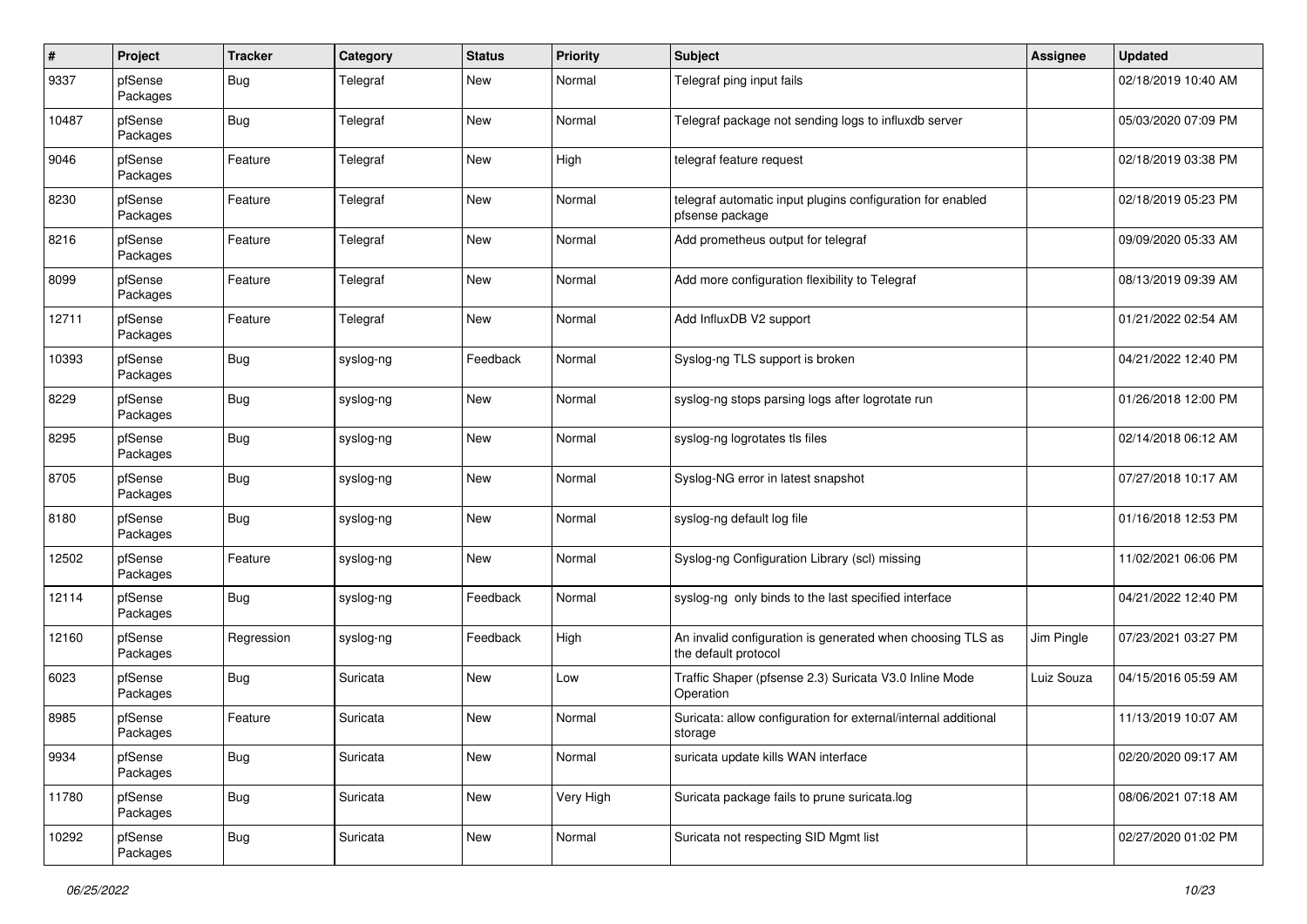| $\pmb{\#}$ | Project             | <b>Tracker</b> | Category  | <b>Status</b> | <b>Priority</b> | <b>Subject</b>                                                                     | <b>Assignee</b> | <b>Updated</b>      |
|------------|---------------------|----------------|-----------|---------------|-----------------|------------------------------------------------------------------------------------|-----------------|---------------------|
| 9337       | pfSense<br>Packages | <b>Bug</b>     | Telegraf  | New           | Normal          | Telegraf ping input fails                                                          |                 | 02/18/2019 10:40 AM |
| 10487      | pfSense<br>Packages | Bug            | Telegraf  | <b>New</b>    | Normal          | Telegraf package not sending logs to influxdb server                               |                 | 05/03/2020 07:09 PM |
| 9046       | pfSense<br>Packages | Feature        | Telegraf  | <b>New</b>    | High            | telegraf feature request                                                           |                 | 02/18/2019 03:38 PM |
| 8230       | pfSense<br>Packages | Feature        | Telegraf  | <b>New</b>    | Normal          | telegraf automatic input plugins configuration for enabled<br>pfsense package      |                 | 02/18/2019 05:23 PM |
| 8216       | pfSense<br>Packages | Feature        | Telegraf  | <b>New</b>    | Normal          | Add prometheus output for telegraf                                                 |                 | 09/09/2020 05:33 AM |
| 8099       | pfSense<br>Packages | Feature        | Telegraf  | <b>New</b>    | Normal          | Add more configuration flexibility to Telegraf                                     |                 | 08/13/2019 09:39 AM |
| 12711      | pfSense<br>Packages | Feature        | Telegraf  | <b>New</b>    | Normal          | Add InfluxDB V2 support                                                            |                 | 01/21/2022 02:54 AM |
| 10393      | pfSense<br>Packages | Bug            | syslog-ng | Feedback      | Normal          | Syslog-ng TLS support is broken                                                    |                 | 04/21/2022 12:40 PM |
| 8229       | pfSense<br>Packages | <b>Bug</b>     | syslog-ng | <b>New</b>    | Normal          | syslog-ng stops parsing logs after logrotate run                                   |                 | 01/26/2018 12:00 PM |
| 8295       | pfSense<br>Packages | <b>Bug</b>     | syslog-ng | <b>New</b>    | Normal          | syslog-ng logrotates tls files                                                     |                 | 02/14/2018 06:12 AM |
| 8705       | pfSense<br>Packages | Bug            | syslog-ng | <b>New</b>    | Normal          | Syslog-NG error in latest snapshot                                                 |                 | 07/27/2018 10:17 AM |
| 8180       | pfSense<br>Packages | Bug            | syslog-ng | <b>New</b>    | Normal          | syslog-ng default log file                                                         |                 | 01/16/2018 12:53 PM |
| 12502      | pfSense<br>Packages | Feature        | syslog-ng | New           | Normal          | Syslog-ng Configuration Library (scl) missing                                      |                 | 11/02/2021 06:06 PM |
| 12114      | pfSense<br>Packages | Bug            | syslog-ng | Feedback      | Normal          | syslog-ng only binds to the last specified interface                               |                 | 04/21/2022 12:40 PM |
| 12160      | pfSense<br>Packages | Regression     | syslog-ng | Feedback      | High            | An invalid configuration is generated when choosing TLS as<br>the default protocol | Jim Pingle      | 07/23/2021 03:27 PM |
| 6023       | pfSense<br>Packages | <b>Bug</b>     | Suricata  | <b>New</b>    | Low             | Traffic Shaper (pfsense 2.3) Suricata V3.0 Inline Mode<br>Operation                | Luiz Souza      | 04/15/2016 05:59 AM |
| 8985       | pfSense<br>Packages | Feature        | Suricata  | <b>New</b>    | Normal          | Suricata: allow configuration for external/internal additional<br>storage          |                 | 11/13/2019 10:07 AM |
| 9934       | pfSense<br>Packages | <b>Bug</b>     | Suricata  | <b>New</b>    | Normal          | suricata update kills WAN interface                                                |                 | 02/20/2020 09:17 AM |
| 11780      | pfSense<br>Packages | <b>Bug</b>     | Suricata  | <b>New</b>    | Very High       | Suricata package fails to prune suricata.log                                       |                 | 08/06/2021 07:18 AM |
| 10292      | pfSense<br>Packages | <b>Bug</b>     | Suricata  | New           | Normal          | Suricata not respecting SID Mgmt list                                              |                 | 02/27/2020 01:02 PM |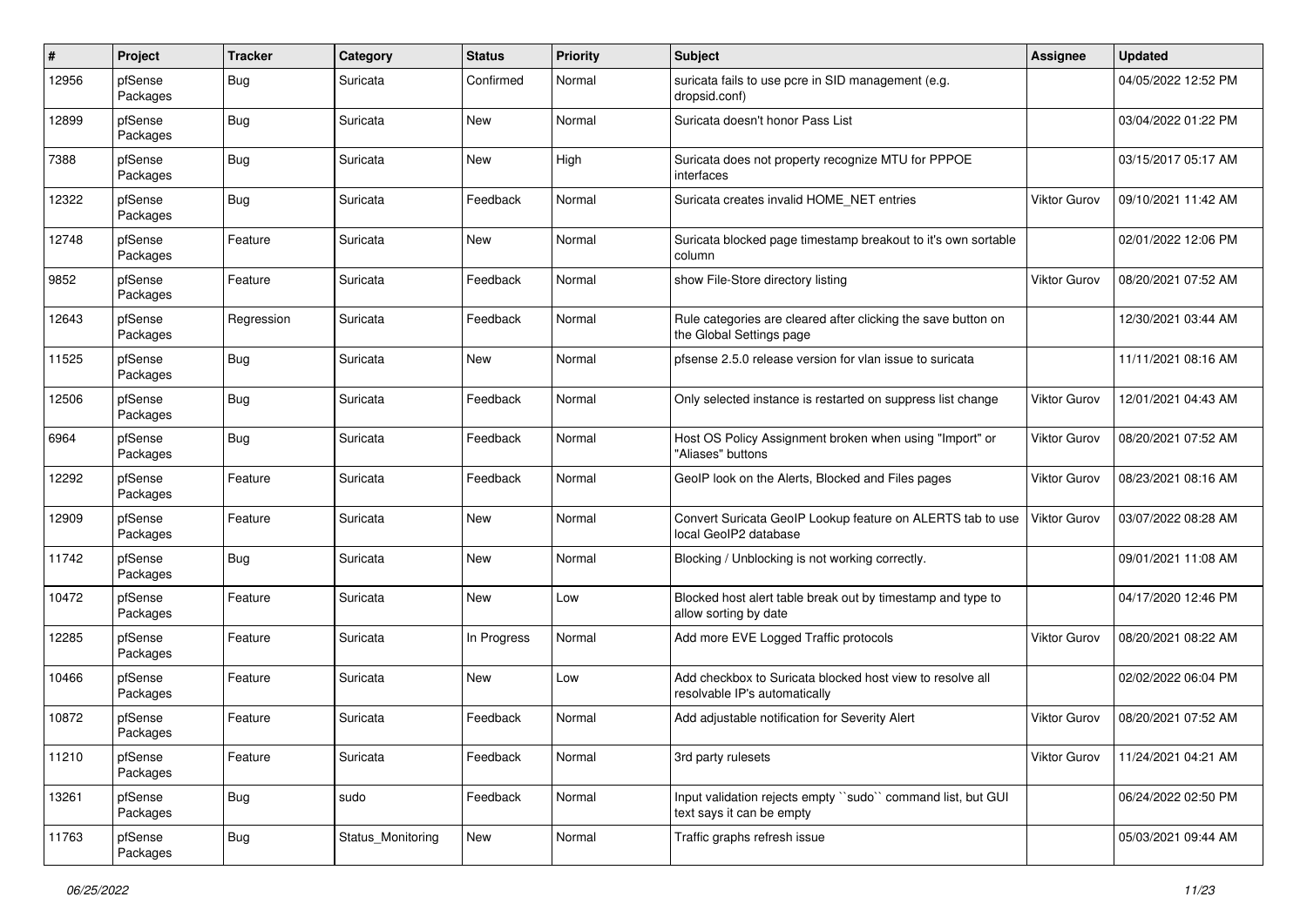| #     | Project             | <b>Tracker</b> | Category          | <b>Status</b> | <b>Priority</b> | Subject                                                                                    | Assignee     | <b>Updated</b>      |
|-------|---------------------|----------------|-------------------|---------------|-----------------|--------------------------------------------------------------------------------------------|--------------|---------------------|
| 12956 | pfSense<br>Packages | <b>Bug</b>     | Suricata          | Confirmed     | Normal          | suricata fails to use pcre in SID management (e.g.<br>dropsid.conf)                        |              | 04/05/2022 12:52 PM |
| 12899 | pfSense<br>Packages | Bug            | Suricata          | <b>New</b>    | Normal          | Suricata doesn't honor Pass List                                                           |              | 03/04/2022 01:22 PM |
| 7388  | pfSense<br>Packages | Bug            | Suricata          | <b>New</b>    | High            | Suricata does not property recognize MTU for PPPOE<br>interfaces                           |              | 03/15/2017 05:17 AM |
| 12322 | pfSense<br>Packages | Bug            | Suricata          | Feedback      | Normal          | Suricata creates invalid HOME NET entries                                                  | Viktor Gurov | 09/10/2021 11:42 AM |
| 12748 | pfSense<br>Packages | Feature        | Suricata          | <b>New</b>    | Normal          | Suricata blocked page timestamp breakout to it's own sortable<br>column                    |              | 02/01/2022 12:06 PM |
| 9852  | pfSense<br>Packages | Feature        | Suricata          | Feedback      | Normal          | show File-Store directory listing                                                          | Viktor Gurov | 08/20/2021 07:52 AM |
| 12643 | pfSense<br>Packages | Regression     | Suricata          | Feedback      | Normal          | Rule categories are cleared after clicking the save button on<br>the Global Settings page  |              | 12/30/2021 03:44 AM |
| 11525 | pfSense<br>Packages | Bug            | Suricata          | New           | Normal          | pfsense 2.5.0 release version for vlan issue to suricata                                   |              | 11/11/2021 08:16 AM |
| 12506 | pfSense<br>Packages | <b>Bug</b>     | Suricata          | Feedback      | Normal          | Only selected instance is restarted on suppress list change                                | Viktor Gurov | 12/01/2021 04:43 AM |
| 6964  | pfSense<br>Packages | Bug            | Suricata          | Feedback      | Normal          | Host OS Policy Assignment broken when using "Import" or<br>"Aliases" buttons               | Viktor Gurov | 08/20/2021 07:52 AM |
| 12292 | pfSense<br>Packages | Feature        | Suricata          | Feedback      | Normal          | GeoIP look on the Alerts, Blocked and Files pages                                          | Viktor Gurov | 08/23/2021 08:16 AM |
| 12909 | pfSense<br>Packages | Feature        | Suricata          | <b>New</b>    | Normal          | Convert Suricata GeoIP Lookup feature on ALERTS tab to use<br>local GeoIP2 database        | Viktor Gurov | 03/07/2022 08:28 AM |
| 11742 | pfSense<br>Packages | Bug            | Suricata          | New           | Normal          | Blocking / Unblocking is not working correctly.                                            |              | 09/01/2021 11:08 AM |
| 10472 | pfSense<br>Packages | Feature        | Suricata          | <b>New</b>    | Low             | Blocked host alert table break out by timestamp and type to<br>allow sorting by date       |              | 04/17/2020 12:46 PM |
| 12285 | pfSense<br>Packages | Feature        | Suricata          | In Progress   | Normal          | Add more EVE Logged Traffic protocols                                                      | Viktor Gurov | 08/20/2021 08:22 AM |
| 10466 | pfSense<br>Packages | Feature        | Suricata          | New           | Low             | Add checkbox to Suricata blocked host view to resolve all<br>resolvable IP's automatically |              | 02/02/2022 06:04 PM |
| 10872 | pfSense<br>Packages | Feature        | Suricata          | Feedback      | Normal          | Add adjustable notification for Severity Alert                                             | Viktor Gurov | 08/20/2021 07:52 AM |
| 11210 | pfSense<br>Packages | Feature        | Suricata          | Feedback      | Normal          | 3rd party rulesets                                                                         | Viktor Gurov | 11/24/2021 04:21 AM |
| 13261 | pfSense<br>Packages | <b>Bug</b>     | sudo              | Feedback      | Normal          | Input validation rejects empty "sudo" command list, but GUI<br>text says it can be empty   |              | 06/24/2022 02:50 PM |
| 11763 | pfSense<br>Packages | <b>Bug</b>     | Status Monitoring | New           | Normal          | Traffic graphs refresh issue                                                               |              | 05/03/2021 09:44 AM |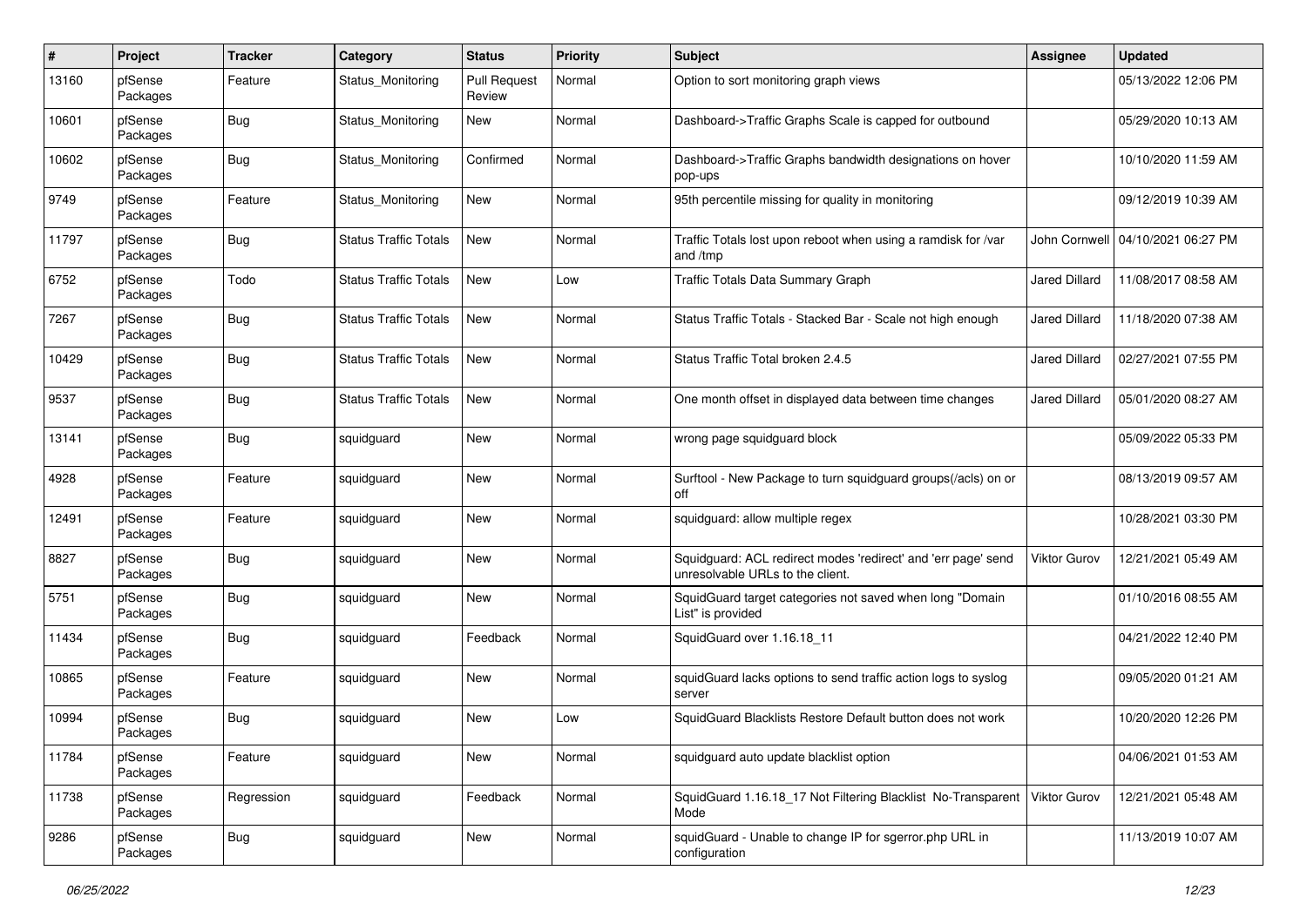| #     | Project             | <b>Tracker</b> | Category                     | <b>Status</b>                 | <b>Priority</b> | <b>Subject</b>                                                                                    | <b>Assignee</b>      | <b>Updated</b>                      |
|-------|---------------------|----------------|------------------------------|-------------------------------|-----------------|---------------------------------------------------------------------------------------------------|----------------------|-------------------------------------|
| 13160 | pfSense<br>Packages | Feature        | Status Monitoring            | <b>Pull Request</b><br>Review | Normal          | Option to sort monitoring graph views                                                             |                      | 05/13/2022 12:06 PM                 |
| 10601 | pfSense<br>Packages | <b>Bug</b>     | Status Monitoring            | <b>New</b>                    | Normal          | Dashboard->Traffic Graphs Scale is capped for outbound                                            |                      | 05/29/2020 10:13 AM                 |
| 10602 | pfSense<br>Packages | Bug            | Status Monitoring            | Confirmed                     | Normal          | Dashboard->Traffic Graphs bandwidth designations on hover<br>pop-ups                              |                      | 10/10/2020 11:59 AM                 |
| 9749  | pfSense<br>Packages | Feature        | Status Monitoring            | <b>New</b>                    | Normal          | 95th percentile missing for quality in monitoring                                                 |                      | 09/12/2019 10:39 AM                 |
| 11797 | pfSense<br>Packages | Bug            | <b>Status Traffic Totals</b> | <b>New</b>                    | Normal          | Traffic Totals lost upon reboot when using a ramdisk for /var<br>and /tmp                         |                      | John Cornwell   04/10/2021 06:27 PM |
| 6752  | pfSense<br>Packages | Todo           | <b>Status Traffic Totals</b> | <b>New</b>                    | Low             | <b>Traffic Totals Data Summary Graph</b>                                                          | <b>Jared Dillard</b> | 11/08/2017 08:58 AM                 |
| 7267  | pfSense<br>Packages | Bug            | <b>Status Traffic Totals</b> | <b>New</b>                    | Normal          | Status Traffic Totals - Stacked Bar - Scale not high enough                                       | <b>Jared Dillard</b> | 11/18/2020 07:38 AM                 |
| 10429 | pfSense<br>Packages | <b>Bug</b>     | <b>Status Traffic Totals</b> | <b>New</b>                    | Normal          | Status Traffic Total broken 2.4.5                                                                 | <b>Jared Dillard</b> | 02/27/2021 07:55 PM                 |
| 9537  | pfSense<br>Packages | <b>Bug</b>     | <b>Status Traffic Totals</b> | <b>New</b>                    | Normal          | One month offset in displayed data between time changes                                           | <b>Jared Dillard</b> | 05/01/2020 08:27 AM                 |
| 13141 | pfSense<br>Packages | Bug            | squidguard                   | <b>New</b>                    | Normal          | wrong page squidguard block                                                                       |                      | 05/09/2022 05:33 PM                 |
| 4928  | pfSense<br>Packages | Feature        | squidguard                   | <b>New</b>                    | Normal          | Surftool - New Package to turn squidguard groups(/acls) on or<br>off                              |                      | 08/13/2019 09:57 AM                 |
| 12491 | pfSense<br>Packages | Feature        | squidguard                   | <b>New</b>                    | Normal          | squidguard: allow multiple regex                                                                  |                      | 10/28/2021 03:30 PM                 |
| 8827  | pfSense<br>Packages | Bug            | squidguard                   | <b>New</b>                    | Normal          | Squidguard: ACL redirect modes 'redirect' and 'err page' send<br>unresolvable URLs to the client. | Viktor Gurov         | 12/21/2021 05:49 AM                 |
| 5751  | pfSense<br>Packages | Bug            | squidguard                   | <b>New</b>                    | Normal          | SquidGuard target categories not saved when long "Domain<br>List" is provided                     |                      | 01/10/2016 08:55 AM                 |
| 11434 | pfSense<br>Packages | <b>Bug</b>     | squidguard                   | Feedback                      | Normal          | SquidGuard over 1.16.18 11                                                                        |                      | 04/21/2022 12:40 PM                 |
| 10865 | pfSense<br>Packages | Feature        | squidguard                   | <b>New</b>                    | Normal          | squidGuard lacks options to send traffic action logs to syslog<br>server                          |                      | 09/05/2020 01:21 AM                 |
| 10994 | pfSense<br>Packages | Bug            | squidquard                   | <b>New</b>                    | Low             | SquidGuard Blacklists Restore Default button does not work                                        |                      | 10/20/2020 12:26 PM                 |
| 11784 | pfSense<br>Packages | Feature        | squidguard                   | New                           | Normal          | squidguard auto update blacklist option                                                           |                      | 04/06/2021 01:53 AM                 |
| 11738 | pfSense<br>Packages | Regression     | squidguard                   | Feedback                      | Normal          | SquidGuard 1.16.18_17 Not Filtering Blacklist No-Transparent<br>Mode                              | <b>Viktor Gurov</b>  | 12/21/2021 05:48 AM                 |
| 9286  | pfSense<br>Packages | <b>Bug</b>     | squidguard                   | New                           | Normal          | squidGuard - Unable to change IP for sgerror.php URL in<br>configuration                          |                      | 11/13/2019 10:07 AM                 |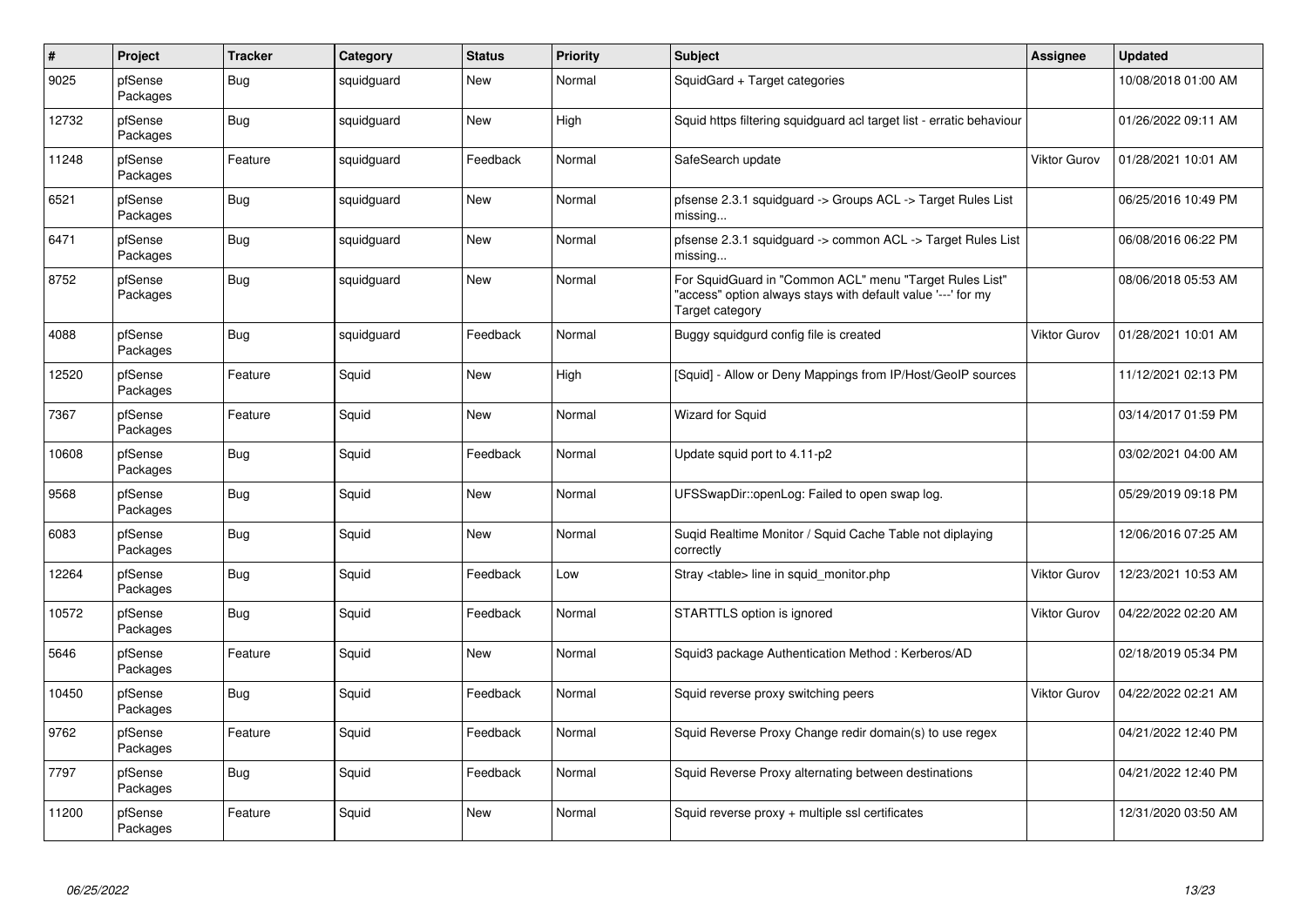| $\pmb{\#}$ | Project             | <b>Tracker</b> | Category   | <b>Status</b> | <b>Priority</b> | <b>Subject</b>                                                                                                                             | <b>Assignee</b>     | Updated             |
|------------|---------------------|----------------|------------|---------------|-----------------|--------------------------------------------------------------------------------------------------------------------------------------------|---------------------|---------------------|
| 9025       | pfSense<br>Packages | Bug            | squidguard | New           | Normal          | SquidGard + Target categories                                                                                                              |                     | 10/08/2018 01:00 AM |
| 12732      | pfSense<br>Packages | <b>Bug</b>     | squidguard | New           | High            | Squid https filtering squidguard acl target list - erratic behaviour                                                                       |                     | 01/26/2022 09:11 AM |
| 11248      | pfSense<br>Packages | Feature        | squidguard | Feedback      | Normal          | SafeSearch update                                                                                                                          | <b>Viktor Gurov</b> | 01/28/2021 10:01 AM |
| 6521       | pfSense<br>Packages | Bug            | squidguard | New           | Normal          | pfsense 2.3.1 squidguard -> Groups ACL -> Target Rules List<br>missing                                                                     |                     | 06/25/2016 10:49 PM |
| 6471       | pfSense<br>Packages | Bug            | squidguard | New           | Normal          | pfsense 2.3.1 squidguard -> common ACL -> Target Rules List<br>missing                                                                     |                     | 06/08/2016 06:22 PM |
| 8752       | pfSense<br>Packages | Bug            | squidguard | <b>New</b>    | Normal          | For SquidGuard in "Common ACL" menu "Target Rules List"<br>"access" option always stays with default value '---' for my<br>Target category |                     | 08/06/2018 05:53 AM |
| 4088       | pfSense<br>Packages | Bug            | squidguard | Feedback      | Normal          | Buggy squidgurd config file is created                                                                                                     | Viktor Gurov        | 01/28/2021 10:01 AM |
| 12520      | pfSense<br>Packages | Feature        | Squid      | <b>New</b>    | High            | [Squid] - Allow or Deny Mappings from IP/Host/GeoIP sources                                                                                |                     | 11/12/2021 02:13 PM |
| 7367       | pfSense<br>Packages | Feature        | Squid      | <b>New</b>    | Normal          | <b>Wizard for Squid</b>                                                                                                                    |                     | 03/14/2017 01:59 PM |
| 10608      | pfSense<br>Packages | Bug            | Squid      | Feedback      | Normal          | Update squid port to 4.11-p2                                                                                                               |                     | 03/02/2021 04:00 AM |
| 9568       | pfSense<br>Packages | Bug            | Squid      | New           | Normal          | UFSSwapDir::openLog: Failed to open swap log.                                                                                              |                     | 05/29/2019 09:18 PM |
| 6083       | pfSense<br>Packages | Bug            | Squid      | <b>New</b>    | Normal          | Suqid Realtime Monitor / Squid Cache Table not diplaying<br>correctly                                                                      |                     | 12/06/2016 07:25 AM |
| 12264      | pfSense<br>Packages | <b>Bug</b>     | Squid      | Feedback      | Low             | Stray <table> line in squid_monitor.php</table>                                                                                            | <b>Viktor Gurov</b> | 12/23/2021 10:53 AM |
| 10572      | pfSense<br>Packages | Bug            | Squid      | Feedback      | Normal          | STARTTLS option is ignored                                                                                                                 | <b>Viktor Gurov</b> | 04/22/2022 02:20 AM |
| 5646       | pfSense<br>Packages | Feature        | Squid      | New           | Normal          | Squid3 package Authentication Method: Kerberos/AD                                                                                          |                     | 02/18/2019 05:34 PM |
| 10450      | pfSense<br>Packages | <b>Bug</b>     | Squid      | Feedback      | Normal          | Squid reverse proxy switching peers                                                                                                        | <b>Viktor Gurov</b> | 04/22/2022 02:21 AM |
| 9762       | pfSense<br>Packages | Feature        | Squid      | Feedback      | Normal          | Squid Reverse Proxy Change redir domain(s) to use regex                                                                                    |                     | 04/21/2022 12:40 PM |
| 7797       | pfSense<br>Packages | Bug            | Squid      | Feedback      | Normal          | Squid Reverse Proxy alternating between destinations                                                                                       |                     | 04/21/2022 12:40 PM |
| 11200      | pfSense<br>Packages | Feature        | Squid      | <b>New</b>    | Normal          | Squid reverse proxy + multiple ssl certificates                                                                                            |                     | 12/31/2020 03:50 AM |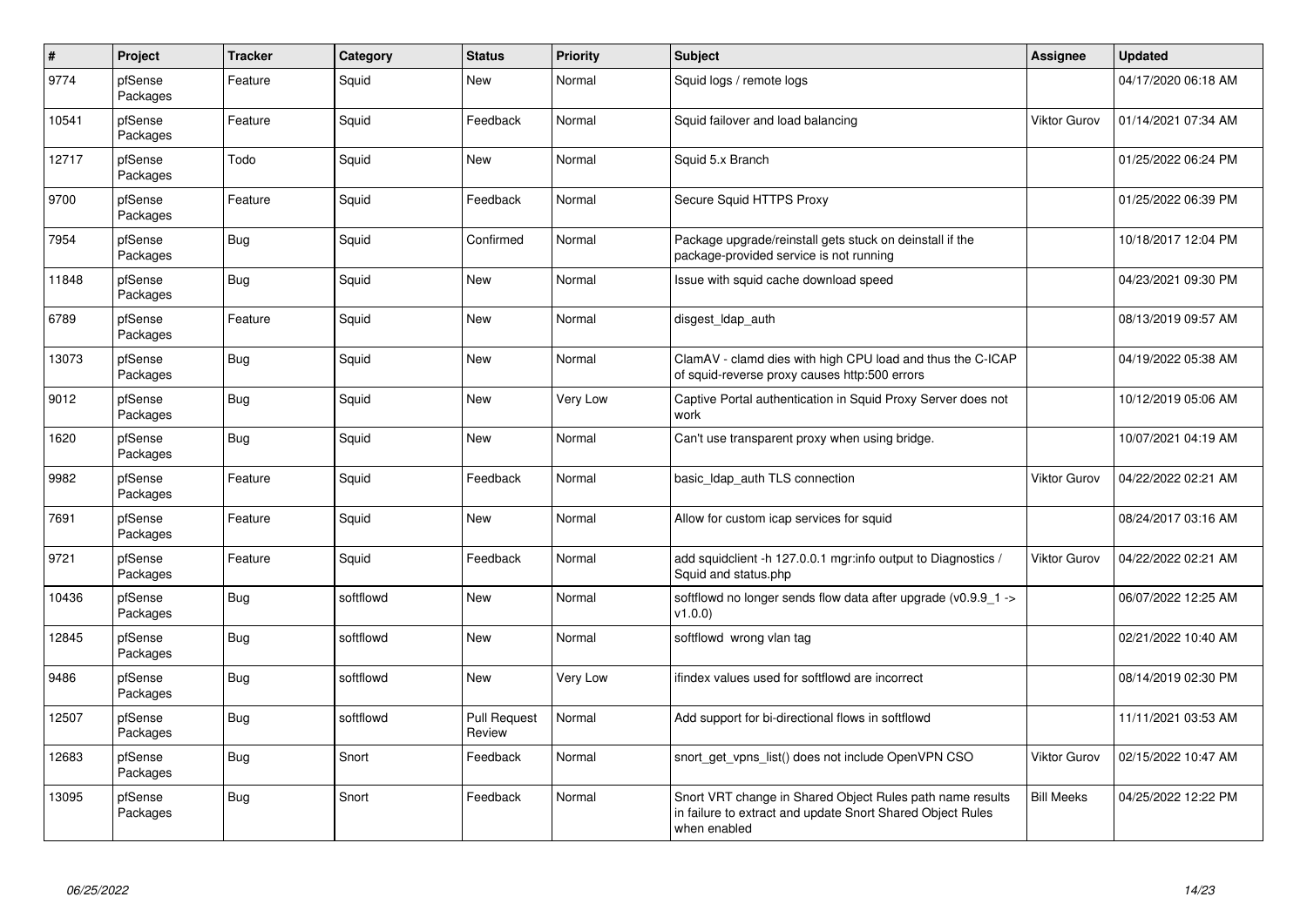| $\#$  | Project             | <b>Tracker</b> | Category  | <b>Status</b>                 | <b>Priority</b> | <b>Subject</b>                                                                                                                          | <b>Assignee</b>     | <b>Updated</b>      |
|-------|---------------------|----------------|-----------|-------------------------------|-----------------|-----------------------------------------------------------------------------------------------------------------------------------------|---------------------|---------------------|
| 9774  | pfSense<br>Packages | Feature        | Squid     | New                           | Normal          | Squid logs / remote logs                                                                                                                |                     | 04/17/2020 06:18 AM |
| 10541 | pfSense<br>Packages | Feature        | Squid     | Feedback                      | Normal          | Squid failover and load balancing                                                                                                       | <b>Viktor Gurov</b> | 01/14/2021 07:34 AM |
| 12717 | pfSense<br>Packages | Todo           | Squid     | <b>New</b>                    | Normal          | Squid 5.x Branch                                                                                                                        |                     | 01/25/2022 06:24 PM |
| 9700  | pfSense<br>Packages | Feature        | Squid     | Feedback                      | Normal          | Secure Squid HTTPS Proxy                                                                                                                |                     | 01/25/2022 06:39 PM |
| 7954  | pfSense<br>Packages | <b>Bug</b>     | Squid     | Confirmed                     | Normal          | Package upgrade/reinstall gets stuck on deinstall if the<br>package-provided service is not running                                     |                     | 10/18/2017 12:04 PM |
| 11848 | pfSense<br>Packages | <b>Bug</b>     | Squid     | <b>New</b>                    | Normal          | Issue with squid cache download speed                                                                                                   |                     | 04/23/2021 09:30 PM |
| 6789  | pfSense<br>Packages | Feature        | Squid     | <b>New</b>                    | Normal          | disgest Idap auth                                                                                                                       |                     | 08/13/2019 09:57 AM |
| 13073 | pfSense<br>Packages | Bug            | Squid     | <b>New</b>                    | Normal          | ClamAV - clamd dies with high CPU load and thus the C-ICAP<br>of squid-reverse proxy causes http:500 errors                             |                     | 04/19/2022 05:38 AM |
| 9012  | pfSense<br>Packages | <b>Bug</b>     | Squid     | New                           | Very Low        | Captive Portal authentication in Squid Proxy Server does not<br>work                                                                    |                     | 10/12/2019 05:06 AM |
| 1620  | pfSense<br>Packages | <b>Bug</b>     | Squid     | <b>New</b>                    | Normal          | Can't use transparent proxy when using bridge.                                                                                          |                     | 10/07/2021 04:19 AM |
| 9982  | pfSense<br>Packages | Feature        | Squid     | Feedback                      | Normal          | basic Idap auth TLS connection                                                                                                          | <b>Viktor Gurov</b> | 04/22/2022 02:21 AM |
| 7691  | pfSense<br>Packages | Feature        | Squid     | New                           | Normal          | Allow for custom icap services for squid                                                                                                |                     | 08/24/2017 03:16 AM |
| 9721  | pfSense<br>Packages | Feature        | Squid     | Feedback                      | Normal          | add squidclient -h 127.0.0.1 mgr:info output to Diagnostics /<br>Squid and status.php                                                   | <b>Viktor Gurov</b> | 04/22/2022 02:21 AM |
| 10436 | pfSense<br>Packages | <b>Bug</b>     | softflowd | <b>New</b>                    | Normal          | softflowd no longer sends flow data after upgrade ( $v0.9.9$ 1 -><br>v1.0.0                                                             |                     | 06/07/2022 12:25 AM |
| 12845 | pfSense<br>Packages | <b>Bug</b>     | softflowd | New                           | Normal          | softflowd wrong vlan tag                                                                                                                |                     | 02/21/2022 10:40 AM |
| 9486  | pfSense<br>Packages | Bug            | softflowd | New                           | Very Low        | ifindex values used for softflowd are incorrect                                                                                         |                     | 08/14/2019 02:30 PM |
| 12507 | pfSense<br>Packages | <b>Bug</b>     | softflowd | <b>Pull Request</b><br>Review | Normal          | Add support for bi-directional flows in softflowd                                                                                       |                     | 11/11/2021 03:53 AM |
| 12683 | pfSense<br>Packages | Bug            | Snort     | Feedback                      | Normal          | snort get vpns list() does not include OpenVPN CSO                                                                                      | <b>Viktor Gurov</b> | 02/15/2022 10:47 AM |
| 13095 | pfSense<br>Packages | Bug            | Snort     | Feedback                      | Normal          | Snort VRT change in Shared Object Rules path name results<br>in failure to extract and update Snort Shared Object Rules<br>when enabled | <b>Bill Meeks</b>   | 04/25/2022 12:22 PM |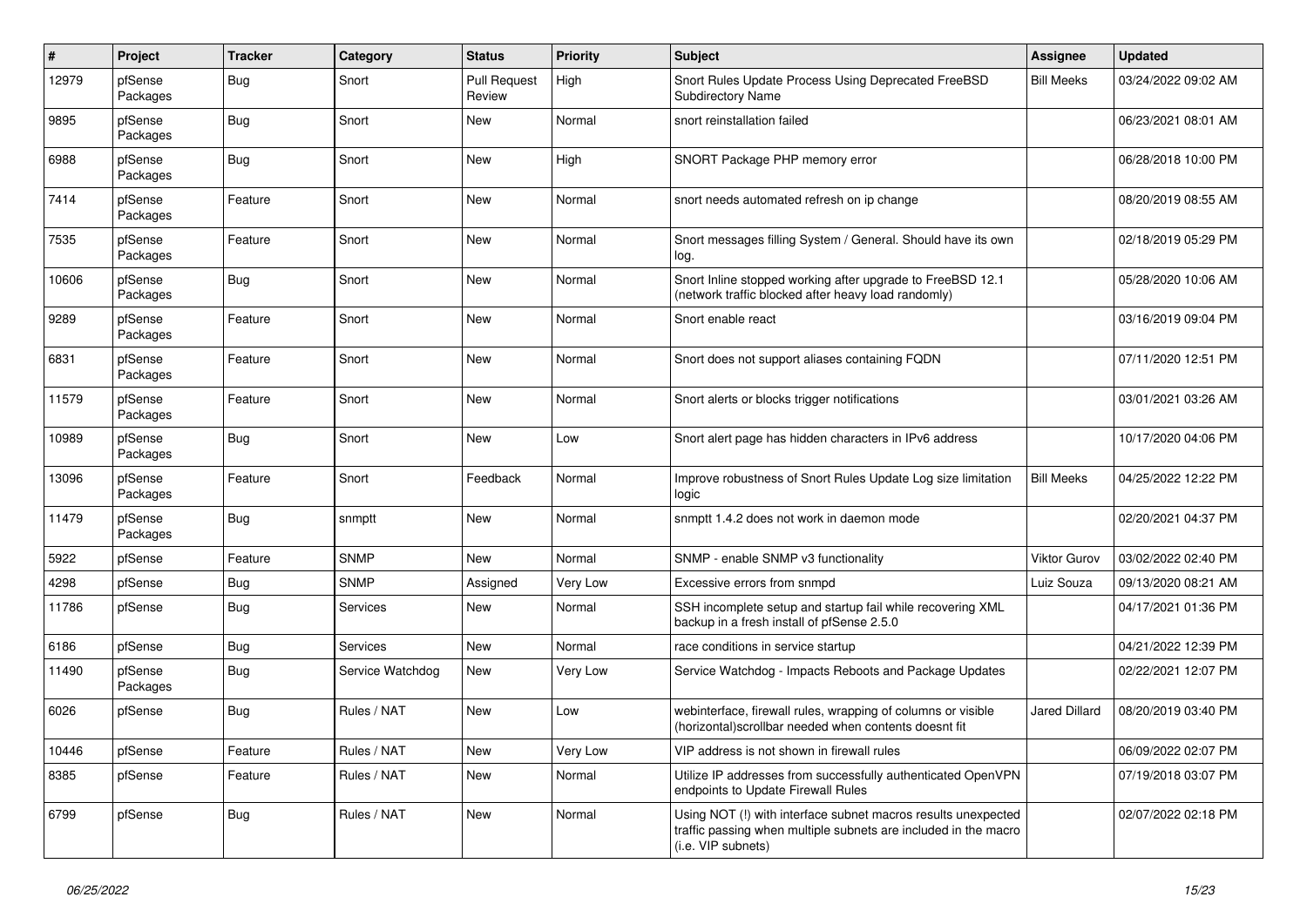| $\pmb{\#}$ | Project             | <b>Tracker</b> | Category         | <b>Status</b>                 | <b>Priority</b> | Subject                                                                                                                                                | Assignee             | <b>Updated</b>      |
|------------|---------------------|----------------|------------------|-------------------------------|-----------------|--------------------------------------------------------------------------------------------------------------------------------------------------------|----------------------|---------------------|
| 12979      | pfSense<br>Packages | <b>Bug</b>     | Snort            | <b>Pull Request</b><br>Review | High            | Snort Rules Update Process Using Deprecated FreeBSD<br><b>Subdirectory Name</b>                                                                        | <b>Bill Meeks</b>    | 03/24/2022 09:02 AM |
| 9895       | pfSense<br>Packages | Bug            | Snort            | <b>New</b>                    | Normal          | snort reinstallation failed                                                                                                                            |                      | 06/23/2021 08:01 AM |
| 6988       | pfSense<br>Packages | <b>Bug</b>     | Snort            | <b>New</b>                    | High            | SNORT Package PHP memory error                                                                                                                         |                      | 06/28/2018 10:00 PM |
| 7414       | pfSense<br>Packages | Feature        | Snort            | <b>New</b>                    | Normal          | snort needs automated refresh on ip change                                                                                                             |                      | 08/20/2019 08:55 AM |
| 7535       | pfSense<br>Packages | Feature        | Snort            | <b>New</b>                    | Normal          | Snort messages filling System / General. Should have its own<br>log.                                                                                   |                      | 02/18/2019 05:29 PM |
| 10606      | pfSense<br>Packages | Bug            | Snort            | New                           | Normal          | Snort Inline stopped working after upgrade to FreeBSD 12.1<br>(network traffic blocked after heavy load randomly)                                      |                      | 05/28/2020 10:06 AM |
| 9289       | pfSense<br>Packages | Feature        | Snort            | New                           | Normal          | Snort enable react                                                                                                                                     |                      | 03/16/2019 09:04 PM |
| 6831       | pfSense<br>Packages | Feature        | Snort            | New                           | Normal          | Snort does not support aliases containing FQDN                                                                                                         |                      | 07/11/2020 12:51 PM |
| 11579      | pfSense<br>Packages | Feature        | Snort            | <b>New</b>                    | Normal          | Snort alerts or blocks trigger notifications                                                                                                           |                      | 03/01/2021 03:26 AM |
| 10989      | pfSense<br>Packages | <b>Bug</b>     | Snort            | <b>New</b>                    | Low             | Snort alert page has hidden characters in IPv6 address                                                                                                 |                      | 10/17/2020 04:06 PM |
| 13096      | pfSense<br>Packages | Feature        | Snort            | Feedback                      | Normal          | Improve robustness of Snort Rules Update Log size limitation<br>logic                                                                                  | <b>Bill Meeks</b>    | 04/25/2022 12:22 PM |
| 11479      | pfSense<br>Packages | Bug            | snmptt           | <b>New</b>                    | Normal          | snmptt 1.4.2 does not work in daemon mode                                                                                                              |                      | 02/20/2021 04:37 PM |
| 5922       | pfSense             | Feature        | <b>SNMP</b>      | New                           | Normal          | SNMP - enable SNMP v3 functionality                                                                                                                    | Viktor Gurov         | 03/02/2022 02:40 PM |
| 4298       | pfSense             | <b>Bug</b>     | <b>SNMP</b>      | Assigned                      | Very Low        | Excessive errors from snmpd                                                                                                                            | Luiz Souza           | 09/13/2020 08:21 AM |
| 11786      | pfSense             | Bug            | <b>Services</b>  | <b>New</b>                    | Normal          | SSH incomplete setup and startup fail while recovering XML<br>backup in a fresh install of pfSense 2.5.0                                               |                      | 04/17/2021 01:36 PM |
| 6186       | pfSense             | Bug            | <b>Services</b>  | <b>New</b>                    | Normal          | race conditions in service startup                                                                                                                     |                      | 04/21/2022 12:39 PM |
| 11490      | pfSense<br>Packages | Bug            | Service Watchdog | New                           | Very Low        | Service Watchdog - Impacts Reboots and Package Updates                                                                                                 |                      | 02/22/2021 12:07 PM |
| 6026       | pfSense             | Bug            | Rules / NAT      | <b>New</b>                    | Low             | webinterface, firewall rules, wrapping of columns or visible<br>(horizontal) scrollbar needed when contents doesnt fit                                 | <b>Jared Dillard</b> | 08/20/2019 03:40 PM |
| 10446      | pfSense             | Feature        | Rules / NAT      | New                           | Very Low        | VIP address is not shown in firewall rules                                                                                                             |                      | 06/09/2022 02:07 PM |
| 8385       | pfSense             | Feature        | Rules / NAT      | New                           | Normal          | Utilize IP addresses from successfully authenticated OpenVPN<br>endpoints to Update Firewall Rules                                                     |                      | 07/19/2018 03:07 PM |
| 6799       | pfSense             | Bug            | Rules / NAT      | New                           | Normal          | Using NOT (!) with interface subnet macros results unexpected<br>traffic passing when multiple subnets are included in the macro<br>(i.e. VIP subnets) |                      | 02/07/2022 02:18 PM |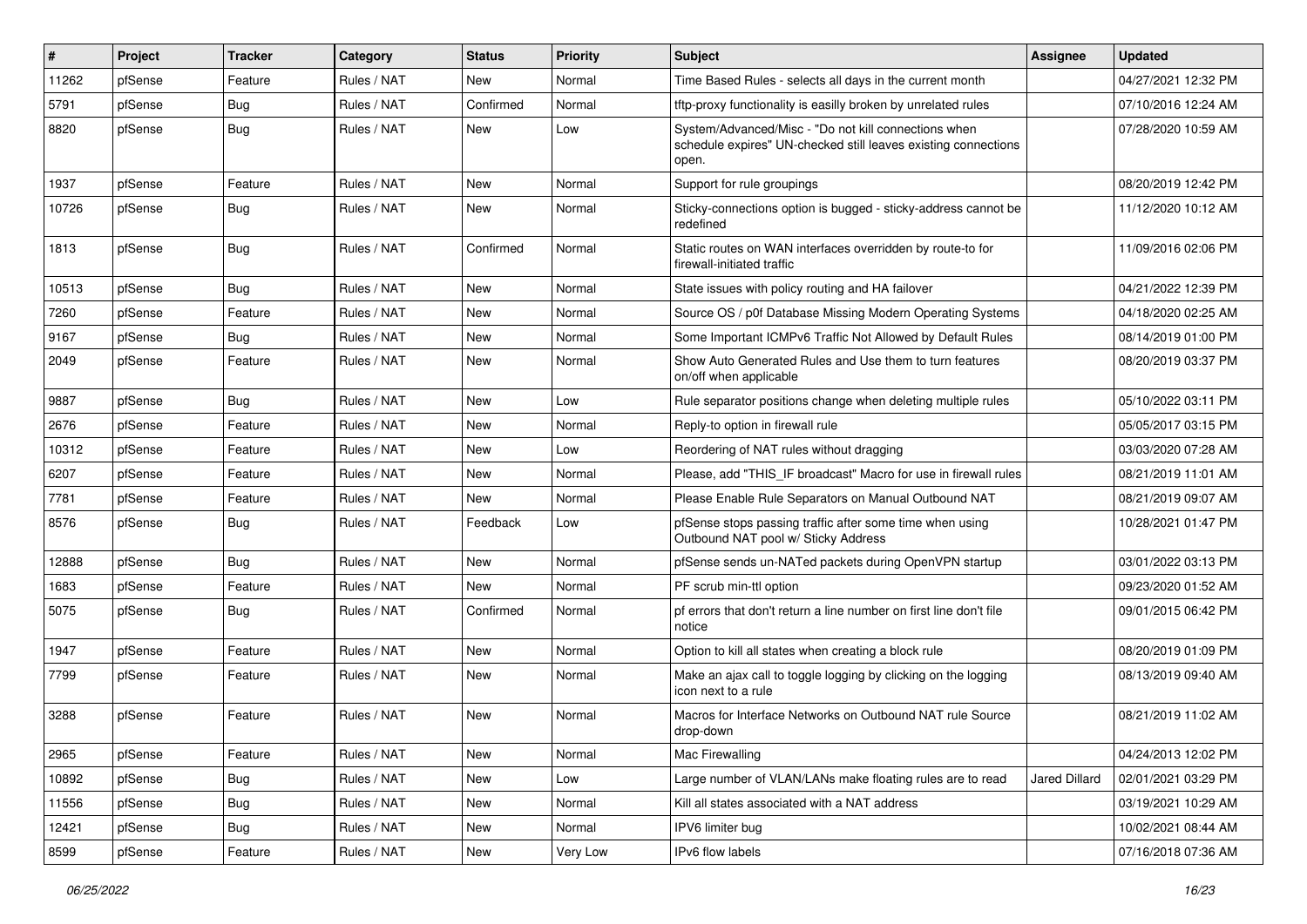| $\vert$ # | Project | <b>Tracker</b> | Category    | <b>Status</b> | <b>Priority</b> | <b>Subject</b>                                                                                                                  | Assignee             | <b>Updated</b>      |
|-----------|---------|----------------|-------------|---------------|-----------------|---------------------------------------------------------------------------------------------------------------------------------|----------------------|---------------------|
| 11262     | pfSense | Feature        | Rules / NAT | New           | Normal          | Time Based Rules - selects all days in the current month                                                                        |                      | 04/27/2021 12:32 PM |
| 5791      | pfSense | <b>Bug</b>     | Rules / NAT | Confirmed     | Normal          | tftp-proxy functionality is easilly broken by unrelated rules                                                                   |                      | 07/10/2016 12:24 AM |
| 8820      | pfSense | <b>Bug</b>     | Rules / NAT | New           | Low             | System/Advanced/Misc - "Do not kill connections when<br>schedule expires" UN-checked still leaves existing connections<br>open. |                      | 07/28/2020 10:59 AM |
| 1937      | pfSense | Feature        | Rules / NAT | <b>New</b>    | Normal          | Support for rule groupings                                                                                                      |                      | 08/20/2019 12:42 PM |
| 10726     | pfSense | <b>Bug</b>     | Rules / NAT | New           | Normal          | Sticky-connections option is bugged - sticky-address cannot be<br>redefined                                                     |                      | 11/12/2020 10:12 AM |
| 1813      | pfSense | <b>Bug</b>     | Rules / NAT | Confirmed     | Normal          | Static routes on WAN interfaces overridden by route-to for<br>firewall-initiated traffic                                        |                      | 11/09/2016 02:06 PM |
| 10513     | pfSense | Bug            | Rules / NAT | New           | Normal          | State issues with policy routing and HA failover                                                                                |                      | 04/21/2022 12:39 PM |
| 7260      | pfSense | Feature        | Rules / NAT | New           | Normal          | Source OS / p0f Database Missing Modern Operating Systems                                                                       |                      | 04/18/2020 02:25 AM |
| 9167      | pfSense | <b>Bug</b>     | Rules / NAT | New           | Normal          | Some Important ICMPv6 Traffic Not Allowed by Default Rules                                                                      |                      | 08/14/2019 01:00 PM |
| 2049      | pfSense | Feature        | Rules / NAT | New           | Normal          | Show Auto Generated Rules and Use them to turn features<br>on/off when applicable                                               |                      | 08/20/2019 03:37 PM |
| 9887      | pfSense | Bug            | Rules / NAT | <b>New</b>    | Low             | Rule separator positions change when deleting multiple rules                                                                    |                      | 05/10/2022 03:11 PM |
| 2676      | pfSense | Feature        | Rules / NAT | New           | Normal          | Reply-to option in firewall rule                                                                                                |                      | 05/05/2017 03:15 PM |
| 10312     | pfSense | Feature        | Rules / NAT | New           | Low             | Reordering of NAT rules without dragging                                                                                        |                      | 03/03/2020 07:28 AM |
| 6207      | pfSense | Feature        | Rules / NAT | New           | Normal          | Please, add "THIS_IF broadcast" Macro for use in firewall rules                                                                 |                      | 08/21/2019 11:01 AM |
| 7781      | pfSense | Feature        | Rules / NAT | New           | Normal          | Please Enable Rule Separators on Manual Outbound NAT                                                                            |                      | 08/21/2019 09:07 AM |
| 8576      | pfSense | <b>Bug</b>     | Rules / NAT | Feedback      | Low             | pfSense stops passing traffic after some time when using<br>Outbound NAT pool w/ Sticky Address                                 |                      | 10/28/2021 01:47 PM |
| 12888     | pfSense | <b>Bug</b>     | Rules / NAT | New           | Normal          | pfSense sends un-NATed packets during OpenVPN startup                                                                           |                      | 03/01/2022 03:13 PM |
| 1683      | pfSense | Feature        | Rules / NAT | <b>New</b>    | Normal          | PF scrub min-ttl option                                                                                                         |                      | 09/23/2020 01:52 AM |
| 5075      | pfSense | Bug            | Rules / NAT | Confirmed     | Normal          | pf errors that don't return a line number on first line don't file<br>notice                                                    |                      | 09/01/2015 06:42 PM |
| 1947      | pfSense | Feature        | Rules / NAT | New           | Normal          | Option to kill all states when creating a block rule                                                                            |                      | 08/20/2019 01:09 PM |
| 7799      | pfSense | Feature        | Rules / NAT | New           | Normal          | Make an ajax call to toggle logging by clicking on the logging<br>icon next to a rule                                           |                      | 08/13/2019 09:40 AM |
| 3288      | pfSense | Feature        | Rules / NAT | New           | Normal          | Macros for Interface Networks on Outbound NAT rule Source<br>drop-down                                                          |                      | 08/21/2019 11:02 AM |
| 2965      | pfSense | Feature        | Rules / NAT | New           | Normal          | Mac Firewalling                                                                                                                 |                      | 04/24/2013 12:02 PM |
| 10892     | pfSense | <b>Bug</b>     | Rules / NAT | New           | Low             | Large number of VLAN/LANs make floating rules are to read                                                                       | <b>Jared Dillard</b> | 02/01/2021 03:29 PM |
| 11556     | pfSense | Bug            | Rules / NAT | New           | Normal          | Kill all states associated with a NAT address                                                                                   |                      | 03/19/2021 10:29 AM |
| 12421     | pfSense | Bug            | Rules / NAT | New           | Normal          | IPV6 limiter bug                                                                                                                |                      | 10/02/2021 08:44 AM |
| 8599      | pfSense | Feature        | Rules / NAT | New           | Very Low        | IPv6 flow labels                                                                                                                |                      | 07/16/2018 07:36 AM |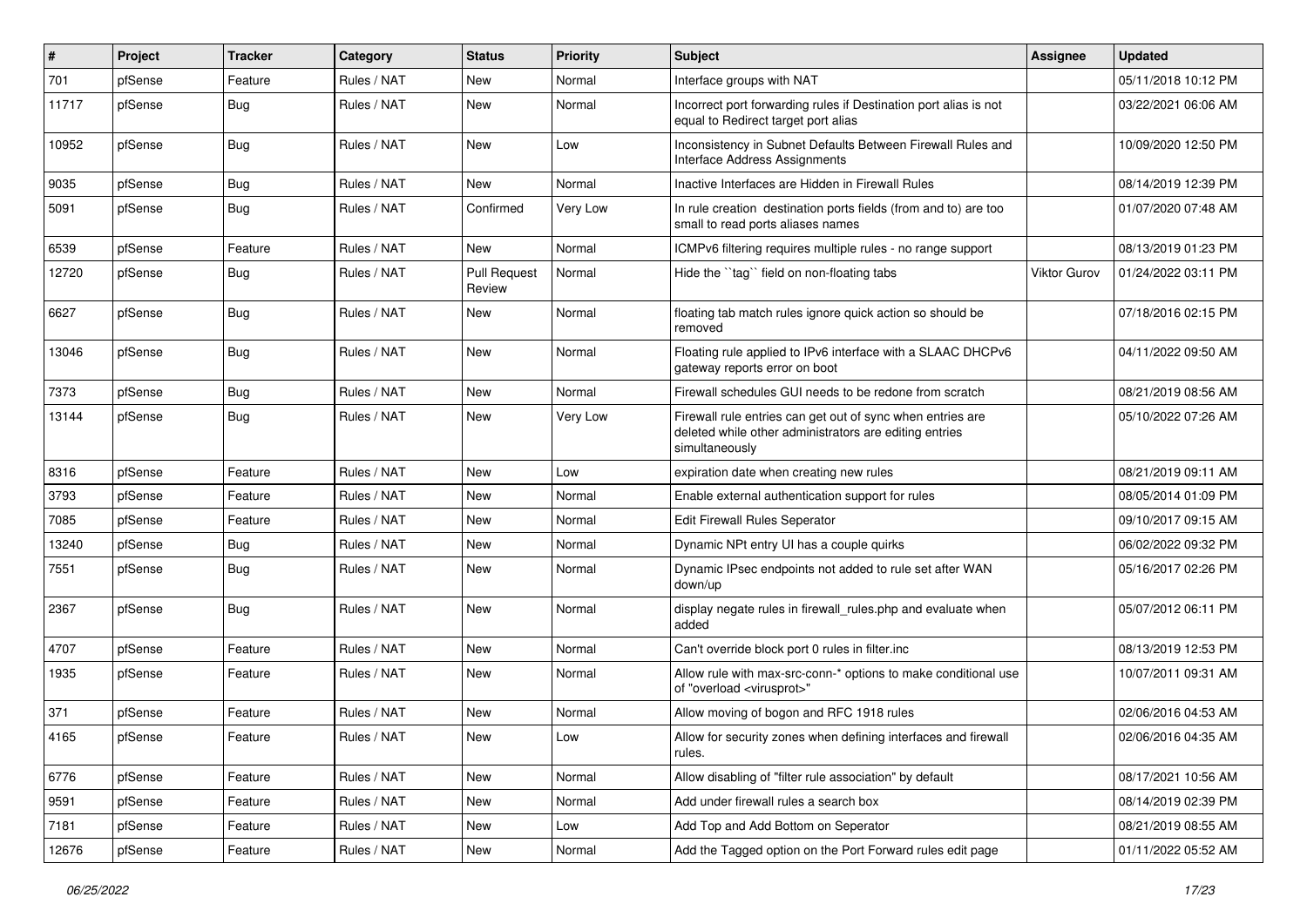| ∦     | Project | <b>Tracker</b> | Category    | <b>Status</b>                 | <b>Priority</b> | <b>Subject</b>                                                                                                                         | <b>Assignee</b> | <b>Updated</b>      |
|-------|---------|----------------|-------------|-------------------------------|-----------------|----------------------------------------------------------------------------------------------------------------------------------------|-----------------|---------------------|
| 701   | pfSense | Feature        | Rules / NAT | New                           | Normal          | Interface groups with NAT                                                                                                              |                 | 05/11/2018 10:12 PM |
| 11717 | pfSense | <b>Bug</b>     | Rules / NAT | New                           | Normal          | Incorrect port forwarding rules if Destination port alias is not<br>equal to Redirect target port alias                                |                 | 03/22/2021 06:06 AM |
| 10952 | pfSense | Bug            | Rules / NAT | New                           | Low             | Inconsistency in Subnet Defaults Between Firewall Rules and<br>Interface Address Assignments                                           |                 | 10/09/2020 12:50 PM |
| 9035  | pfSense | <b>Bug</b>     | Rules / NAT | <b>New</b>                    | Normal          | Inactive Interfaces are Hidden in Firewall Rules                                                                                       |                 | 08/14/2019 12:39 PM |
| 5091  | pfSense | <b>Bug</b>     | Rules / NAT | Confirmed                     | Very Low        | In rule creation destination ports fields (from and to) are too<br>small to read ports aliases names                                   |                 | 01/07/2020 07:48 AM |
| 6539  | pfSense | Feature        | Rules / NAT | New                           | Normal          | ICMPv6 filtering requires multiple rules - no range support                                                                            |                 | 08/13/2019 01:23 PM |
| 12720 | pfSense | <b>Bug</b>     | Rules / NAT | <b>Pull Request</b><br>Review | Normal          | Hide the "tag" field on non-floating tabs                                                                                              | Viktor Gurov    | 01/24/2022 03:11 PM |
| 6627  | pfSense | <b>Bug</b>     | Rules / NAT | New                           | Normal          | floating tab match rules ignore quick action so should be<br>removed                                                                   |                 | 07/18/2016 02:15 PM |
| 13046 | pfSense | <b>Bug</b>     | Rules / NAT | New                           | Normal          | Floating rule applied to IPv6 interface with a SLAAC DHCPv6<br>gateway reports error on boot                                           |                 | 04/11/2022 09:50 AM |
| 7373  | pfSense | Bug            | Rules / NAT | <b>New</b>                    | Normal          | Firewall schedules GUI needs to be redone from scratch                                                                                 |                 | 08/21/2019 08:56 AM |
| 13144 | pfSense | <b>Bug</b>     | Rules / NAT | New                           | Very Low        | Firewall rule entries can get out of sync when entries are<br>deleted while other administrators are editing entries<br>simultaneously |                 | 05/10/2022 07:26 AM |
| 8316  | pfSense | Feature        | Rules / NAT | New                           | Low             | expiration date when creating new rules                                                                                                |                 | 08/21/2019 09:11 AM |
| 3793  | pfSense | Feature        | Rules / NAT | New                           | Normal          | Enable external authentication support for rules                                                                                       |                 | 08/05/2014 01:09 PM |
| 7085  | pfSense | Feature        | Rules / NAT | New                           | Normal          | <b>Edit Firewall Rules Seperator</b>                                                                                                   |                 | 09/10/2017 09:15 AM |
| 13240 | pfSense | <b>Bug</b>     | Rules / NAT | <b>New</b>                    | Normal          | Dynamic NPt entry UI has a couple quirks                                                                                               |                 | 06/02/2022 09:32 PM |
| 7551  | pfSense | <b>Bug</b>     | Rules / NAT | <b>New</b>                    | Normal          | Dynamic IPsec endpoints not added to rule set after WAN<br>down/up                                                                     |                 | 05/16/2017 02:26 PM |
| 2367  | pfSense | Bug            | Rules / NAT | New                           | Normal          | display negate rules in firewall_rules.php and evaluate when<br>added                                                                  |                 | 05/07/2012 06:11 PM |
| 4707  | pfSense | Feature        | Rules / NAT | New                           | Normal          | Can't override block port 0 rules in filter.inc                                                                                        |                 | 08/13/2019 12:53 PM |
| 1935  | pfSense | Feature        | Rules / NAT | New                           | Normal          | Allow rule with max-src-conn-* options to make conditional use<br>of "overload <virusprot>"</virusprot>                                |                 | 10/07/2011 09:31 AM |
| 371   | pfSense | Feature        | Rules / NAT | New                           | Normal          | Allow moving of bogon and RFC 1918 rules                                                                                               |                 | 02/06/2016 04:53 AM |
| 4165  | pfSense | Feature        | Rules / NAT | New                           | Low             | Allow for security zones when defining interfaces and firewall<br>rules.                                                               |                 | 02/06/2016 04:35 AM |
| 6776  | pfSense | Feature        | Rules / NAT | New                           | Normal          | Allow disabling of "filter rule association" by default                                                                                |                 | 08/17/2021 10:56 AM |
| 9591  | pfSense | Feature        | Rules / NAT | New                           | Normal          | Add under firewall rules a search box                                                                                                  |                 | 08/14/2019 02:39 PM |
| 7181  | pfSense | Feature        | Rules / NAT | New                           | Low             | Add Top and Add Bottom on Seperator                                                                                                    |                 | 08/21/2019 08:55 AM |
| 12676 | pfSense | Feature        | Rules / NAT | New                           | Normal          | Add the Tagged option on the Port Forward rules edit page                                                                              |                 | 01/11/2022 05:52 AM |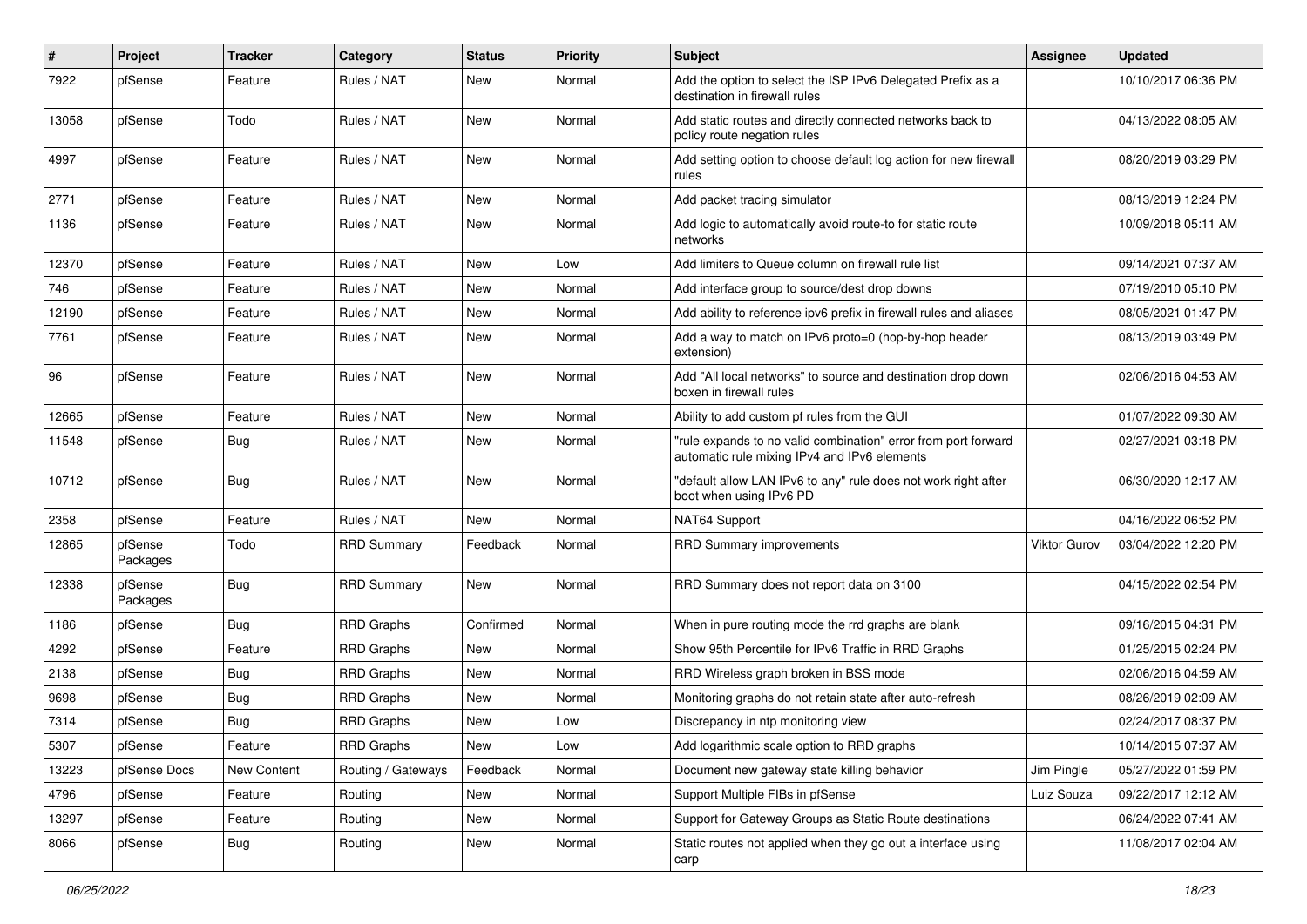| $\sharp$ | Project             | Tracker     | Category           | <b>Status</b> | <b>Priority</b> | <b>Subject</b>                                                                                                 | <b>Assignee</b> | <b>Updated</b>      |
|----------|---------------------|-------------|--------------------|---------------|-----------------|----------------------------------------------------------------------------------------------------------------|-----------------|---------------------|
| 7922     | pfSense             | Feature     | Rules / NAT        | <b>New</b>    | Normal          | Add the option to select the ISP IPv6 Delegated Prefix as a<br>destination in firewall rules                   |                 | 10/10/2017 06:36 PM |
| 13058    | pfSense             | Todo        | Rules / NAT        | <b>New</b>    | Normal          | Add static routes and directly connected networks back to<br>policy route negation rules                       |                 | 04/13/2022 08:05 AM |
| 4997     | pfSense             | Feature     | Rules / NAT        | <b>New</b>    | Normal          | Add setting option to choose default log action for new firewall<br>rules                                      |                 | 08/20/2019 03:29 PM |
| 2771     | pfSense             | Feature     | Rules / NAT        | <b>New</b>    | Normal          | Add packet tracing simulator                                                                                   |                 | 08/13/2019 12:24 PM |
| 1136     | pfSense             | Feature     | Rules / NAT        | <b>New</b>    | Normal          | Add logic to automatically avoid route-to for static route<br>networks                                         |                 | 10/09/2018 05:11 AM |
| 12370    | pfSense             | Feature     | Rules / NAT        | <b>New</b>    | Low             | Add limiters to Queue column on firewall rule list                                                             |                 | 09/14/2021 07:37 AM |
| 746      | pfSense             | Feature     | Rules / NAT        | <b>New</b>    | Normal          | Add interface group to source/dest drop downs                                                                  |                 | 07/19/2010 05:10 PM |
| 12190    | pfSense             | Feature     | Rules / NAT        | <b>New</b>    | Normal          | Add ability to reference ipv6 prefix in firewall rules and aliases                                             |                 | 08/05/2021 01:47 PM |
| 7761     | pfSense             | Feature     | Rules / NAT        | <b>New</b>    | Normal          | Add a way to match on IPv6 proto=0 (hop-by-hop header<br>extension)                                            |                 | 08/13/2019 03:49 PM |
| 96       | pfSense             | Feature     | Rules / NAT        | <b>New</b>    | Normal          | Add "All local networks" to source and destination drop down<br>boxen in firewall rules                        |                 | 02/06/2016 04:53 AM |
| 12665    | pfSense             | Feature     | Rules / NAT        | <b>New</b>    | Normal          | Ability to add custom pf rules from the GUI                                                                    |                 | 01/07/2022 09:30 AM |
| 11548    | pfSense             | <b>Bug</b>  | Rules / NAT        | New           | Normal          | "rule expands to no valid combination" error from port forward<br>automatic rule mixing IPv4 and IPv6 elements |                 | 02/27/2021 03:18 PM |
| 10712    | pfSense             | <b>Bug</b>  | Rules / NAT        | <b>New</b>    | Normal          | "default allow LAN IPv6 to any" rule does not work right after<br>boot when using IPv6 PD                      |                 | 06/30/2020 12:17 AM |
| 2358     | pfSense             | Feature     | Rules / NAT        | <b>New</b>    | Normal          | NAT64 Support                                                                                                  |                 | 04/16/2022 06:52 PM |
| 12865    | pfSense<br>Packages | Todo        | <b>RRD Summary</b> | Feedback      | Normal          | <b>RRD Summary improvements</b>                                                                                | Viktor Gurov    | 03/04/2022 12:20 PM |
| 12338    | pfSense<br>Packages | <b>Bug</b>  | <b>RRD Summary</b> | <b>New</b>    | Normal          | RRD Summary does not report data on 3100                                                                       |                 | 04/15/2022 02:54 PM |
| 1186     | pfSense             | <b>Bug</b>  | <b>RRD Graphs</b>  | Confirmed     | Normal          | When in pure routing mode the rrd graphs are blank                                                             |                 | 09/16/2015 04:31 PM |
| 4292     | pfSense             | Feature     | <b>RRD Graphs</b>  | <b>New</b>    | Normal          | Show 95th Percentile for IPv6 Traffic in RRD Graphs                                                            |                 | 01/25/2015 02:24 PM |
| 2138     | pfSense             | Bug         | <b>RRD Graphs</b>  | <b>New</b>    | Normal          | RRD Wireless graph broken in BSS mode                                                                          |                 | 02/06/2016 04:59 AM |
| 9698     | pfSense             | <b>Bug</b>  | RRD Graphs         | New           | Normal          | Monitoring graphs do not retain state after auto-refresh                                                       |                 | 08/26/2019 02:09 AM |
| 7314     | pfSense             | <b>Bug</b>  | <b>RRD Graphs</b>  | <b>New</b>    | Low             | Discrepancy in ntp monitoring view                                                                             |                 | 02/24/2017 08:37 PM |
| 5307     | pfSense             | Feature     | <b>RRD Graphs</b>  | New           | Low             | Add logarithmic scale option to RRD graphs                                                                     |                 | 10/14/2015 07:37 AM |
| 13223    | pfSense Docs        | New Content | Routing / Gateways | Feedback      | Normal          | Document new gateway state killing behavior                                                                    | Jim Pingle      | 05/27/2022 01:59 PM |
| 4796     | pfSense             | Feature     | Routing            | New           | Normal          | Support Multiple FIBs in pfSense                                                                               | Luiz Souza      | 09/22/2017 12:12 AM |
| 13297    | pfSense             | Feature     | Routing            | New           | Normal          | Support for Gateway Groups as Static Route destinations                                                        |                 | 06/24/2022 07:41 AM |
| 8066     | pfSense             | <b>Bug</b>  | Routing            | New           | Normal          | Static routes not applied when they go out a interface using<br>carp                                           |                 | 11/08/2017 02:04 AM |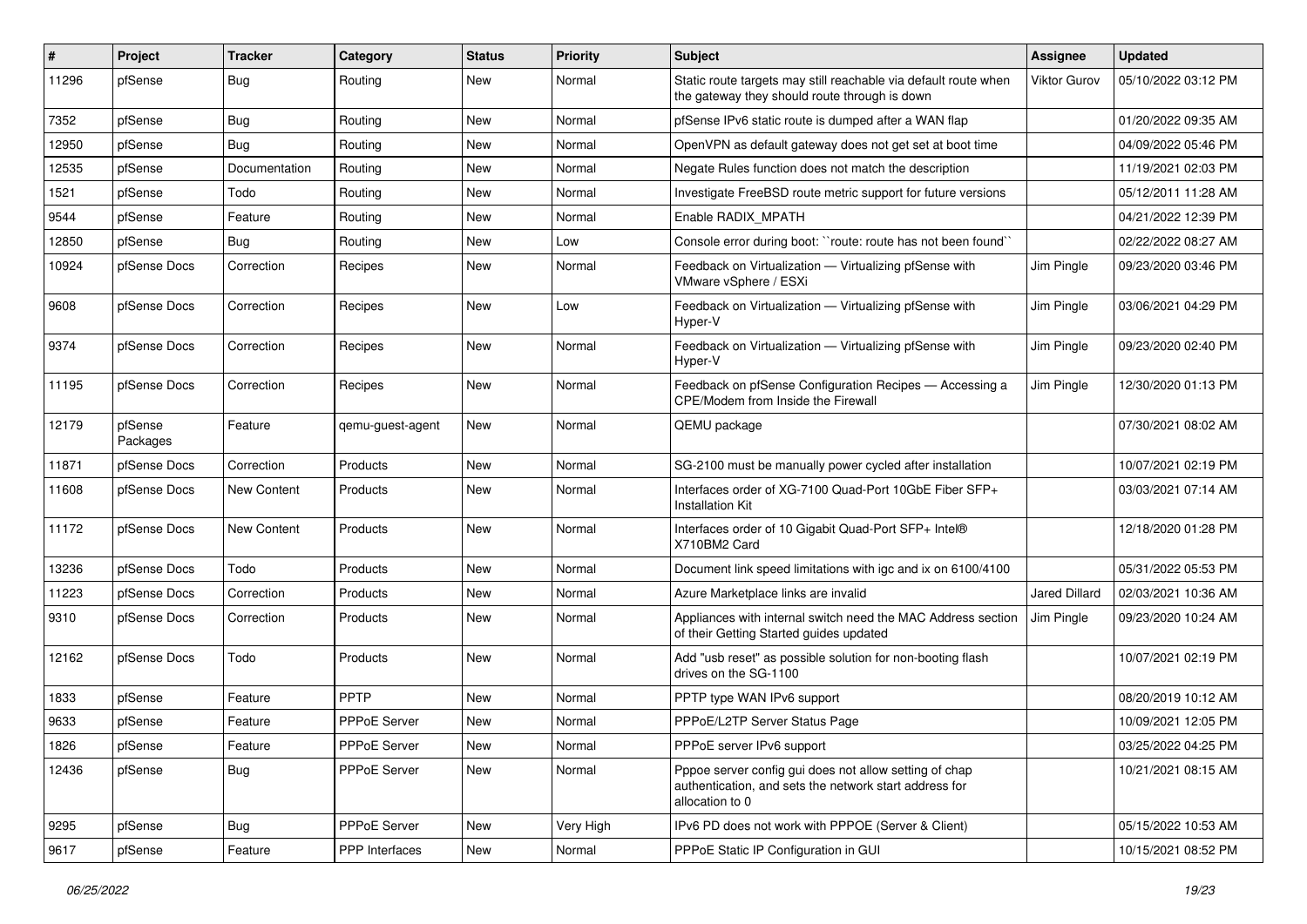| ∦     | Project             | <b>Tracker</b> | Category              | <b>Status</b> | <b>Priority</b> | <b>Subject</b>                                                                                                                      | Assignee             | <b>Updated</b>      |
|-------|---------------------|----------------|-----------------------|---------------|-----------------|-------------------------------------------------------------------------------------------------------------------------------------|----------------------|---------------------|
| 11296 | pfSense             | <b>Bug</b>     | Routing               | New           | Normal          | Static route targets may still reachable via default route when<br>the gateway they should route through is down                    | <b>Viktor Gurov</b>  | 05/10/2022 03:12 PM |
| 7352  | pfSense             | Bug            | Routing               | <b>New</b>    | Normal          | pfSense IPv6 static route is dumped after a WAN flap                                                                                |                      | 01/20/2022 09:35 AM |
| 12950 | pfSense             | Bug            | Routing               | New           | Normal          | OpenVPN as default gateway does not get set at boot time                                                                            |                      | 04/09/2022 05:46 PM |
| 12535 | pfSense             | Documentation  | Routing               | New           | Normal          | Negate Rules function does not match the description                                                                                |                      | 11/19/2021 02:03 PM |
| 1521  | pfSense             | Todo           | Routing               | New           | Normal          | Investigate FreeBSD route metric support for future versions                                                                        |                      | 05/12/2011 11:28 AM |
| 9544  | pfSense             | Feature        | Routing               | <b>New</b>    | Normal          | Enable RADIX MPATH                                                                                                                  |                      | 04/21/2022 12:39 PM |
| 12850 | pfSense             | <b>Bug</b>     | Routing               | New           | Low             | Console error during boot: "route: route has not been found"                                                                        |                      | 02/22/2022 08:27 AM |
| 10924 | pfSense Docs        | Correction     | Recipes               | New           | Normal          | Feedback on Virtualization - Virtualizing pfSense with<br>VMware vSphere / ESXi                                                     | Jim Pingle           | 09/23/2020 03:46 PM |
| 9608  | pfSense Docs        | Correction     | Recipes               | New           | Low             | Feedback on Virtualization - Virtualizing pfSense with<br>Hyper-V                                                                   | Jim Pingle           | 03/06/2021 04:29 PM |
| 9374  | pfSense Docs        | Correction     | Recipes               | <b>New</b>    | Normal          | Feedback on Virtualization - Virtualizing pfSense with<br>Hyper-V                                                                   | Jim Pingle           | 09/23/2020 02:40 PM |
| 11195 | pfSense Docs        | Correction     | Recipes               | New           | Normal          | Feedback on pfSense Configuration Recipes - Accessing a<br>CPE/Modem from Inside the Firewall                                       | Jim Pingle           | 12/30/2020 01:13 PM |
| 12179 | pfSense<br>Packages | Feature        | qemu-guest-agent      | <b>New</b>    | Normal          | QEMU package                                                                                                                        |                      | 07/30/2021 08:02 AM |
| 11871 | pfSense Docs        | Correction     | Products              | New           | Normal          | SG-2100 must be manually power cycled after installation                                                                            |                      | 10/07/2021 02:19 PM |
| 11608 | pfSense Docs        | New Content    | Products              | New           | Normal          | Interfaces order of XG-7100 Quad-Port 10GbE Fiber SFP+<br><b>Installation Kit</b>                                                   |                      | 03/03/2021 07:14 AM |
| 11172 | pfSense Docs        | New Content    | Products              | New           | Normal          | Interfaces order of 10 Gigabit Quad-Port SFP+ Intel®<br>X710BM2 Card                                                                |                      | 12/18/2020 01:28 PM |
| 13236 | pfSense Docs        | Todo           | Products              | <b>New</b>    | Normal          | Document link speed limitations with igc and ix on 6100/4100                                                                        |                      | 05/31/2022 05:53 PM |
| 11223 | pfSense Docs        | Correction     | Products              | New           | Normal          | Azure Marketplace links are invalid                                                                                                 | <b>Jared Dillard</b> | 02/03/2021 10:36 AM |
| 9310  | pfSense Docs        | Correction     | Products              | New           | Normal          | Appliances with internal switch need the MAC Address section<br>of their Getting Started guides updated                             | Jim Pingle           | 09/23/2020 10:24 AM |
| 12162 | pfSense Docs        | Todo           | Products              | New           | Normal          | Add "usb reset" as possible solution for non-booting flash<br>drives on the SG-1100                                                 |                      | 10/07/2021 02:19 PM |
| 1833  | pfSense             | Feature        | PPTP                  | New           | Normal          | PPTP type WAN IPv6 support                                                                                                          |                      | 08/20/2019 10:12 AM |
| 9633  | pfSense             | Feature        | <b>PPPoE Server</b>   | New           | Normal          | PPPoE/L2TP Server Status Page                                                                                                       |                      | 10/09/2021 12:05 PM |
| 1826  | pfSense             | Feature        | PPPoE Server          | New           | Normal          | PPPoE server IPv6 support                                                                                                           |                      | 03/25/2022 04:25 PM |
| 12436 | pfSense             | Bug            | PPPoE Server          | New           | Normal          | Pppoe server config gui does not allow setting of chap<br>authentication, and sets the network start address for<br>allocation to 0 |                      | 10/21/2021 08:15 AM |
| 9295  | pfSense             | Bug            | PPPoE Server          | New           | Very High       | IPv6 PD does not work with PPPOE (Server & Client)                                                                                  |                      | 05/15/2022 10:53 AM |
| 9617  | pfSense             | Feature        | <b>PPP</b> Interfaces | New           | Normal          | PPPoE Static IP Configuration in GUI                                                                                                |                      | 10/15/2021 08:52 PM |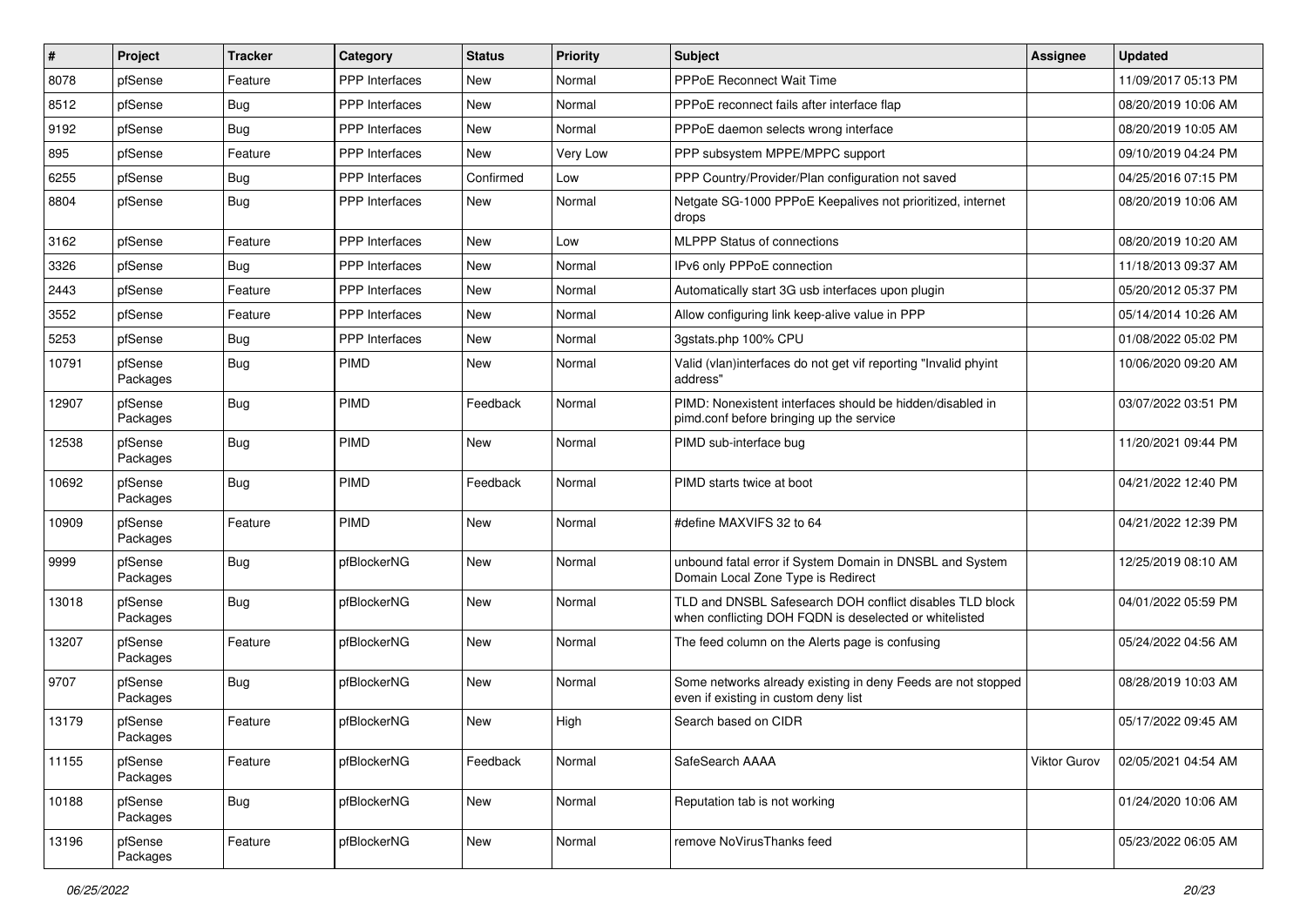| $\vert$ # | Project             | <b>Tracker</b> | Category              | <b>Status</b> | <b>Priority</b> | Subject                                                                                                            | Assignee     | <b>Updated</b>      |
|-----------|---------------------|----------------|-----------------------|---------------|-----------------|--------------------------------------------------------------------------------------------------------------------|--------------|---------------------|
| 8078      | pfSense             | Feature        | PPP Interfaces        | <b>New</b>    | Normal          | PPPoE Reconnect Wait Time                                                                                          |              | 11/09/2017 05:13 PM |
| 8512      | pfSense             | Bug            | <b>PPP</b> Interfaces | <b>New</b>    | Normal          | PPPoE reconnect fails after interface flap                                                                         |              | 08/20/2019 10:06 AM |
| 9192      | pfSense             | Bug            | PPP Interfaces        | <b>New</b>    | Normal          | PPPoE daemon selects wrong interface                                                                               |              | 08/20/2019 10:05 AM |
| 895       | pfSense             | Feature        | <b>PPP</b> Interfaces | <b>New</b>    | Very Low        | PPP subsystem MPPE/MPPC support                                                                                    |              | 09/10/2019 04:24 PM |
| 6255      | pfSense             | Bug            | PPP Interfaces        | Confirmed     | Low             | PPP Country/Provider/Plan configuration not saved                                                                  |              | 04/25/2016 07:15 PM |
| 8804      | pfSense             | <b>Bug</b>     | <b>PPP</b> Interfaces | <b>New</b>    | Normal          | Netgate SG-1000 PPPoE Keepalives not prioritized, internet<br>drops                                                |              | 08/20/2019 10:06 AM |
| 3162      | pfSense             | Feature        | <b>PPP</b> Interfaces | <b>New</b>    | Low             | <b>MLPPP Status of connections</b>                                                                                 |              | 08/20/2019 10:20 AM |
| 3326      | pfSense             | Bug            | PPP Interfaces        | <b>New</b>    | Normal          | IPv6 only PPPoE connection                                                                                         |              | 11/18/2013 09:37 AM |
| 2443      | pfSense             | Feature        | <b>PPP</b> Interfaces | <b>New</b>    | Normal          | Automatically start 3G usb interfaces upon plugin                                                                  |              | 05/20/2012 05:37 PM |
| 3552      | pfSense             | Feature        | PPP Interfaces        | <b>New</b>    | Normal          | Allow configuring link keep-alive value in PPP                                                                     |              | 05/14/2014 10:26 AM |
| 5253      | pfSense             | <b>Bug</b>     | PPP Interfaces        | <b>New</b>    | Normal          | 3gstats.php 100% CPU                                                                                               |              | 01/08/2022 05:02 PM |
| 10791     | pfSense<br>Packages | <b>Bug</b>     | PIMD                  | <b>New</b>    | Normal          | Valid (vlan)interfaces do not get vif reporting "Invalid phyint<br>address"                                        |              | 10/06/2020 09:20 AM |
| 12907     | pfSense<br>Packages | <b>Bug</b>     | <b>PIMD</b>           | Feedback      | Normal          | PIMD: Nonexistent interfaces should be hidden/disabled in<br>pimd.conf before bringing up the service              |              | 03/07/2022 03:51 PM |
| 12538     | pfSense<br>Packages | <b>Bug</b>     | <b>PIMD</b>           | <b>New</b>    | Normal          | PIMD sub-interface bug                                                                                             |              | 11/20/2021 09:44 PM |
| 10692     | pfSense<br>Packages | Bug            | PIMD                  | Feedback      | Normal          | PIMD starts twice at boot                                                                                          |              | 04/21/2022 12:40 PM |
| 10909     | pfSense<br>Packages | Feature        | PIMD                  | <b>New</b>    | Normal          | #define MAXVIFS 32 to 64                                                                                           |              | 04/21/2022 12:39 PM |
| 9999      | pfSense<br>Packages | Bug            | pfBlockerNG           | <b>New</b>    | Normal          | unbound fatal error if System Domain in DNSBL and System<br>Domain Local Zone Type is Redirect                     |              | 12/25/2019 08:10 AM |
| 13018     | pfSense<br>Packages | Bug            | pfBlockerNG           | <b>New</b>    | Normal          | TLD and DNSBL Safesearch DOH conflict disables TLD block<br>when conflicting DOH FQDN is deselected or whitelisted |              | 04/01/2022 05:59 PM |
| 13207     | pfSense<br>Packages | Feature        | pfBlockerNG           | <b>New</b>    | Normal          | The feed column on the Alerts page is confusing                                                                    |              | 05/24/2022 04:56 AM |
| 9707      | pfSense<br>Packages | Bug            | pfBlockerNG           | <b>New</b>    | Normal          | Some networks already existing in deny Feeds are not stopped<br>even if existing in custom deny list               |              | 08/28/2019 10:03 AM |
| 13179     | pfSense<br>Packages | Feature        | pfBlockerNG           | <b>New</b>    | High            | Search based on CIDR                                                                                               |              | 05/17/2022 09:45 AM |
| 11155     | pfSense<br>Packages | Feature        | pfBlockerNG           | Feedback      | Normal          | SafeSearch AAAA                                                                                                    | Viktor Gurov | 02/05/2021 04:54 AM |
| 10188     | pfSense<br>Packages | <b>Bug</b>     | pfBlockerNG           | New           | Normal          | Reputation tab is not working                                                                                      |              | 01/24/2020 10:06 AM |
| 13196     | pfSense<br>Packages | Feature        | pfBlockerNG           | New           | Normal          | remove NoVirusThanks feed                                                                                          |              | 05/23/2022 06:05 AM |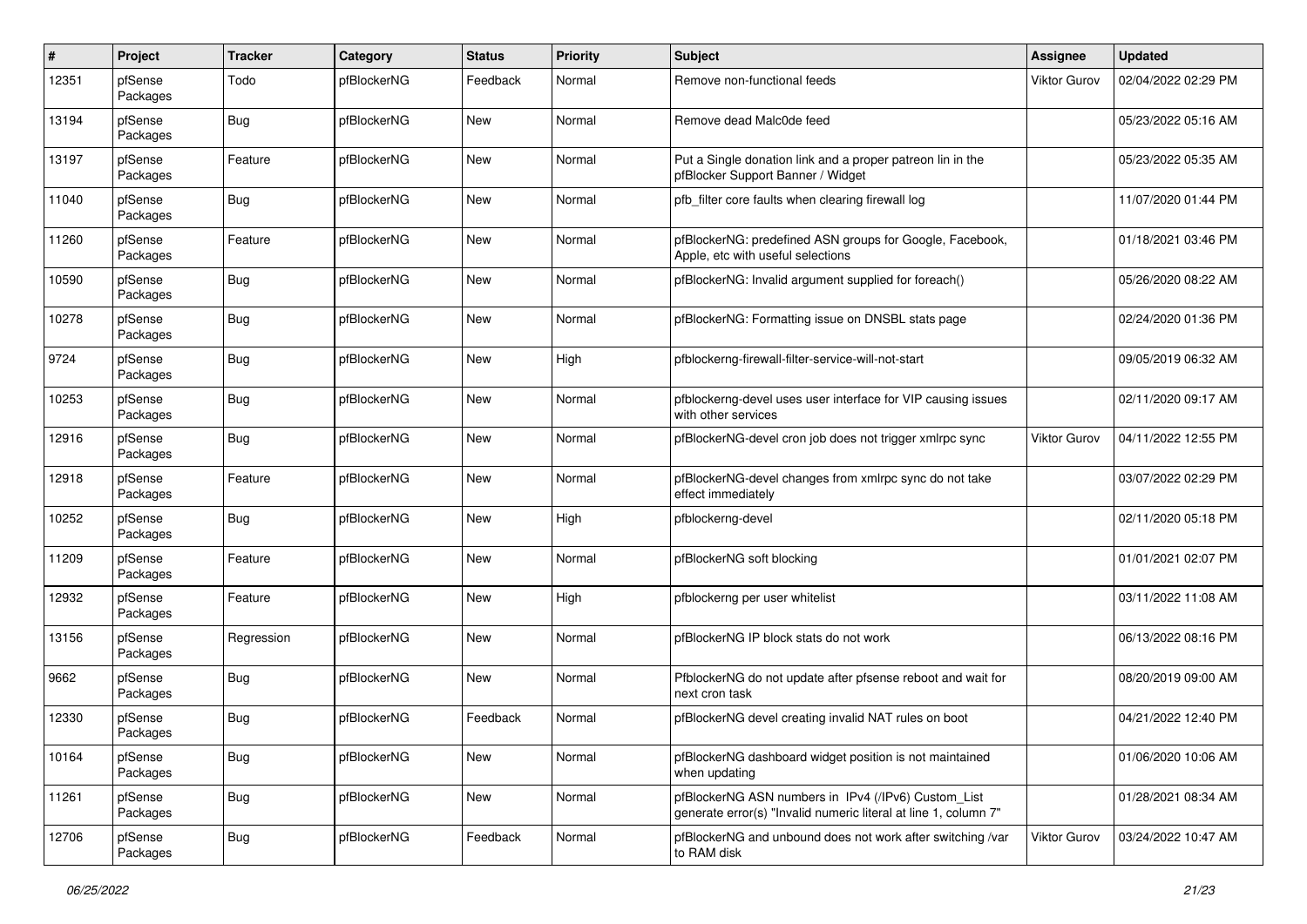| $\pmb{\#}$ | Project             | <b>Tracker</b> | Category    | <b>Status</b> | <b>Priority</b> | <b>Subject</b>                                                                                                         | <b>Assignee</b>     | <b>Updated</b>      |
|------------|---------------------|----------------|-------------|---------------|-----------------|------------------------------------------------------------------------------------------------------------------------|---------------------|---------------------|
| 12351      | pfSense<br>Packages | Todo           | pfBlockerNG | Feedback      | Normal          | Remove non-functional feeds                                                                                            | Viktor Gurov        | 02/04/2022 02:29 PM |
| 13194      | pfSense<br>Packages | Bug            | pfBlockerNG | <b>New</b>    | Normal          | Remove dead Malc0de feed                                                                                               |                     | 05/23/2022 05:16 AM |
| 13197      | pfSense<br>Packages | Feature        | pfBlockerNG | <b>New</b>    | Normal          | Put a Single donation link and a proper patreon lin in the<br>pfBlocker Support Banner / Widget                        |                     | 05/23/2022 05:35 AM |
| 11040      | pfSense<br>Packages | Bug            | pfBlockerNG | <b>New</b>    | Normal          | pfb_filter core faults when clearing firewall log                                                                      |                     | 11/07/2020 01:44 PM |
| 11260      | pfSense<br>Packages | Feature        | pfBlockerNG | <b>New</b>    | Normal          | pfBlockerNG: predefined ASN groups for Google, Facebook,<br>Apple, etc with useful selections                          |                     | 01/18/2021 03:46 PM |
| 10590      | pfSense<br>Packages | Bug            | pfBlockerNG | <b>New</b>    | Normal          | pfBlockerNG: Invalid argument supplied for foreach()                                                                   |                     | 05/26/2020 08:22 AM |
| 10278      | pfSense<br>Packages | <b>Bug</b>     | pfBlockerNG | <b>New</b>    | Normal          | pfBlockerNG: Formatting issue on DNSBL stats page                                                                      |                     | 02/24/2020 01:36 PM |
| 9724       | pfSense<br>Packages | Bug            | pfBlockerNG | <b>New</b>    | High            | pfblockerng-firewall-filter-service-will-not-start                                                                     |                     | 09/05/2019 06:32 AM |
| 10253      | pfSense<br>Packages | Bug            | pfBlockerNG | <b>New</b>    | Normal          | pfblockerng-devel uses user interface for VIP causing issues<br>with other services                                    |                     | 02/11/2020 09:17 AM |
| 12916      | pfSense<br>Packages | Bug            | pfBlockerNG | <b>New</b>    | Normal          | pfBlockerNG-devel cron job does not trigger xmlrpc sync                                                                | <b>Viktor Gurov</b> | 04/11/2022 12:55 PM |
| 12918      | pfSense<br>Packages | Feature        | pfBlockerNG | <b>New</b>    | Normal          | pfBlockerNG-devel changes from xmlrpc sync do not take<br>effect immediately                                           |                     | 03/07/2022 02:29 PM |
| 10252      | pfSense<br>Packages | Bug            | pfBlockerNG | <b>New</b>    | High            | pfblockerng-devel                                                                                                      |                     | 02/11/2020 05:18 PM |
| 11209      | pfSense<br>Packages | Feature        | pfBlockerNG | <b>New</b>    | Normal          | pfBlockerNG soft blocking                                                                                              |                     | 01/01/2021 02:07 PM |
| 12932      | pfSense<br>Packages | Feature        | pfBlockerNG | <b>New</b>    | High            | pfblockerng per user whitelist                                                                                         |                     | 03/11/2022 11:08 AM |
| 13156      | pfSense<br>Packages | Regression     | pfBlockerNG | <b>New</b>    | Normal          | pfBlockerNG IP block stats do not work                                                                                 |                     | 06/13/2022 08:16 PM |
| 9662       | pfSense<br>Packages | Bug            | pfBlockerNG | <b>New</b>    | Normal          | PfblockerNG do not update after pfsense reboot and wait for<br>next cron task                                          |                     | 08/20/2019 09:00 AM |
| 12330      | pfSense<br>Packages | Bug            | pfBlockerNG | Feedback      | Normal          | pfBlockerNG devel creating invalid NAT rules on boot                                                                   |                     | 04/21/2022 12:40 PM |
| 10164      | pfSense<br>Packages | <b>Bug</b>     | pfBlockerNG | <b>New</b>    | Normal          | pfBlockerNG dashboard widget position is not maintained<br>when updating                                               |                     | 01/06/2020 10:06 AM |
| 11261      | pfSense<br>Packages | <b>Bug</b>     | pfBlockerNG | New           | Normal          | pfBlockerNG ASN numbers in IPv4 (/IPv6) Custom List<br>generate error(s) "Invalid numeric literal at line 1, column 7" |                     | 01/28/2021 08:34 AM |
| 12706      | pfSense<br>Packages | <b>Bug</b>     | pfBlockerNG | Feedback      | Normal          | pfBlockerNG and unbound does not work after switching /var<br>to RAM disk                                              | <b>Viktor Gurov</b> | 03/24/2022 10:47 AM |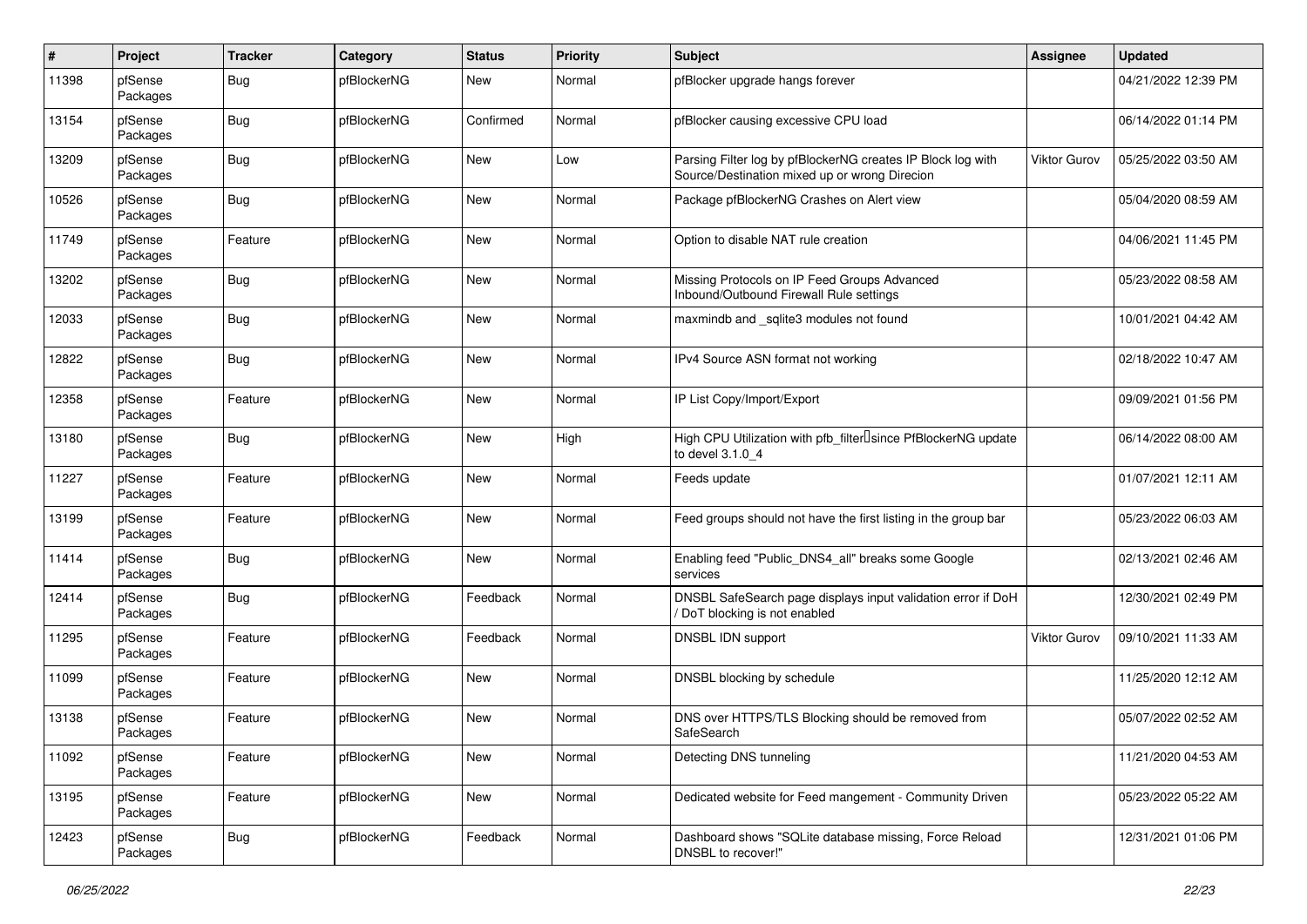| $\pmb{\#}$ | Project             | <b>Tracker</b> | Category    | <b>Status</b> | <b>Priority</b> | <b>Subject</b>                                                                                               | <b>Assignee</b>     | <b>Updated</b>      |
|------------|---------------------|----------------|-------------|---------------|-----------------|--------------------------------------------------------------------------------------------------------------|---------------------|---------------------|
| 11398      | pfSense<br>Packages | <b>Bug</b>     | pfBlockerNG | New           | Normal          | pfBlocker upgrade hangs forever                                                                              |                     | 04/21/2022 12:39 PM |
| 13154      | pfSense<br>Packages | Bug            | pfBlockerNG | Confirmed     | Normal          | pfBlocker causing excessive CPU load                                                                         |                     | 06/14/2022 01:14 PM |
| 13209      | pfSense<br>Packages | Bug            | pfBlockerNG | <b>New</b>    | Low             | Parsing Filter log by pfBlockerNG creates IP Block log with<br>Source/Destination mixed up or wrong Direcion | Viktor Gurov        | 05/25/2022 03:50 AM |
| 10526      | pfSense<br>Packages | <b>Bug</b>     | pfBlockerNG | <b>New</b>    | Normal          | Package pfBlockerNG Crashes on Alert view                                                                    |                     | 05/04/2020 08:59 AM |
| 11749      | pfSense<br>Packages | Feature        | pfBlockerNG | <b>New</b>    | Normal          | Option to disable NAT rule creation                                                                          |                     | 04/06/2021 11:45 PM |
| 13202      | pfSense<br>Packages | Bug            | pfBlockerNG | <b>New</b>    | Normal          | Missing Protocols on IP Feed Groups Advanced<br>Inbound/Outbound Firewall Rule settings                      |                     | 05/23/2022 08:58 AM |
| 12033      | pfSense<br>Packages | <b>Bug</b>     | pfBlockerNG | <b>New</b>    | Normal          | maxmindb and _sqlite3 modules not found                                                                      |                     | 10/01/2021 04:42 AM |
| 12822      | pfSense<br>Packages | Bug            | pfBlockerNG | <b>New</b>    | Normal          | IPv4 Source ASN format not working                                                                           |                     | 02/18/2022 10:47 AM |
| 12358      | pfSense<br>Packages | Feature        | pfBlockerNG | <b>New</b>    | Normal          | IP List Copy/Import/Export                                                                                   |                     | 09/09/2021 01:56 PM |
| 13180      | pfSense<br>Packages | Bug            | pfBlockerNG | <b>New</b>    | High            | High CPU Utilization with pfb filter Isince PfBlockerNG update<br>to devel 3.1.0 4                           |                     | 06/14/2022 08:00 AM |
| 11227      | pfSense<br>Packages | Feature        | pfBlockerNG | <b>New</b>    | Normal          | Feeds update                                                                                                 |                     | 01/07/2021 12:11 AM |
| 13199      | pfSense<br>Packages | Feature        | pfBlockerNG | <b>New</b>    | Normal          | Feed groups should not have the first listing in the group bar                                               |                     | 05/23/2022 06:03 AM |
| 11414      | pfSense<br>Packages | Bug            | pfBlockerNG | <b>New</b>    | Normal          | Enabling feed "Public DNS4 all" breaks some Google<br>services                                               |                     | 02/13/2021 02:46 AM |
| 12414      | pfSense<br>Packages | Bug            | pfBlockerNG | Feedback      | Normal          | DNSBL SafeSearch page displays input validation error if DoH<br>DoT blocking is not enabled                  |                     | 12/30/2021 02:49 PM |
| 11295      | pfSense<br>Packages | Feature        | pfBlockerNG | Feedback      | Normal          | DNSBL IDN support                                                                                            | <b>Viktor Gurov</b> | 09/10/2021 11:33 AM |
| 11099      | pfSense<br>Packages | Feature        | pfBlockerNG | <b>New</b>    | Normal          | DNSBL blocking by schedule                                                                                   |                     | 11/25/2020 12:12 AM |
| 13138      | pfSense<br>Packages | Feature        | pfBlockerNG | <b>New</b>    | Normal          | DNS over HTTPS/TLS Blocking should be removed from<br>SafeSearch                                             |                     | 05/07/2022 02:52 AM |
| 11092      | pfSense<br>Packages | Feature        | pfBlockerNG | <b>New</b>    | Normal          | Detecting DNS tunneling                                                                                      |                     | 11/21/2020 04:53 AM |
| 13195      | pfSense<br>Packages | Feature        | pfBlockerNG | New           | Normal          | Dedicated website for Feed mangement - Community Driven                                                      |                     | 05/23/2022 05:22 AM |
| 12423      | pfSense<br>Packages | <b>Bug</b>     | pfBlockerNG | Feedback      | Normal          | Dashboard shows "SQLite database missing, Force Reload<br>DNSBL to recover!"                                 |                     | 12/31/2021 01:06 PM |